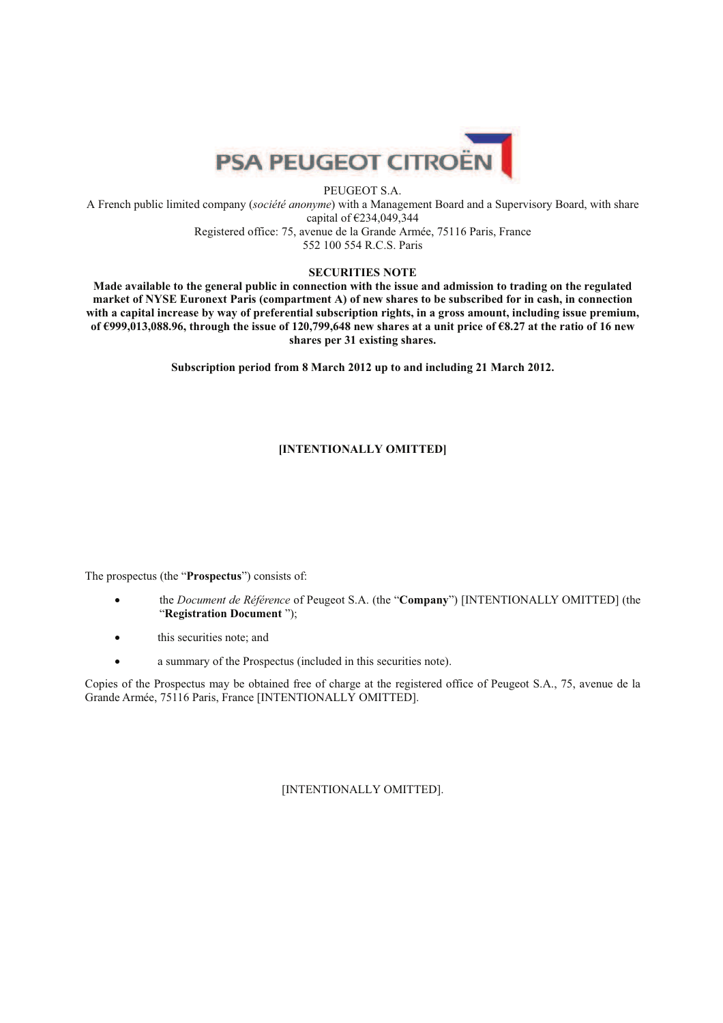

## PEUGEOT S.A.

A French public limited company (*société anonyme*) with a Management Board and a Supervisory Board, with share capital of €234,049,344 Registered office: 75, avenue de la Grande Armée, 75116 Paris, France 552 100 554 R.C.S. Paris

# **SECURITIES NOTE**

**Made available to the general public in connection with the issue and admission to trading on the regulated market of NYSE Euronext Paris (compartment A) of new shares to be subscribed for in cash, in connection with a capital increase by way of preferential subscription rights, in a gross amount, including issue premium, of €999,013,088.96, through the issue of 120,799,648 new shares at a unit price of €8.27 at the ratio of 16 new shares per 31 existing shares.** 

**Subscription period from 8 March 2012 up to and including 21 March 2012.** 

# **[INTENTIONALLY OMITTED]**

The prospectus (the "**Prospectus**") consists of:

- the *Document de Référence* of Peugeot S.A. (the "**Company**") [INTENTIONALLY OMITTED] (the "**Registration Document** ");
- this securities note; and
- a summary of the Prospectus (included in this securities note).

Copies of the Prospectus may be obtained free of charge at the registered office of Peugeot S.A., 75, avenue de la Grande Armée, 75116 Paris, France [INTENTIONALLY OMITTED].

[INTENTIONALLY OMITTED].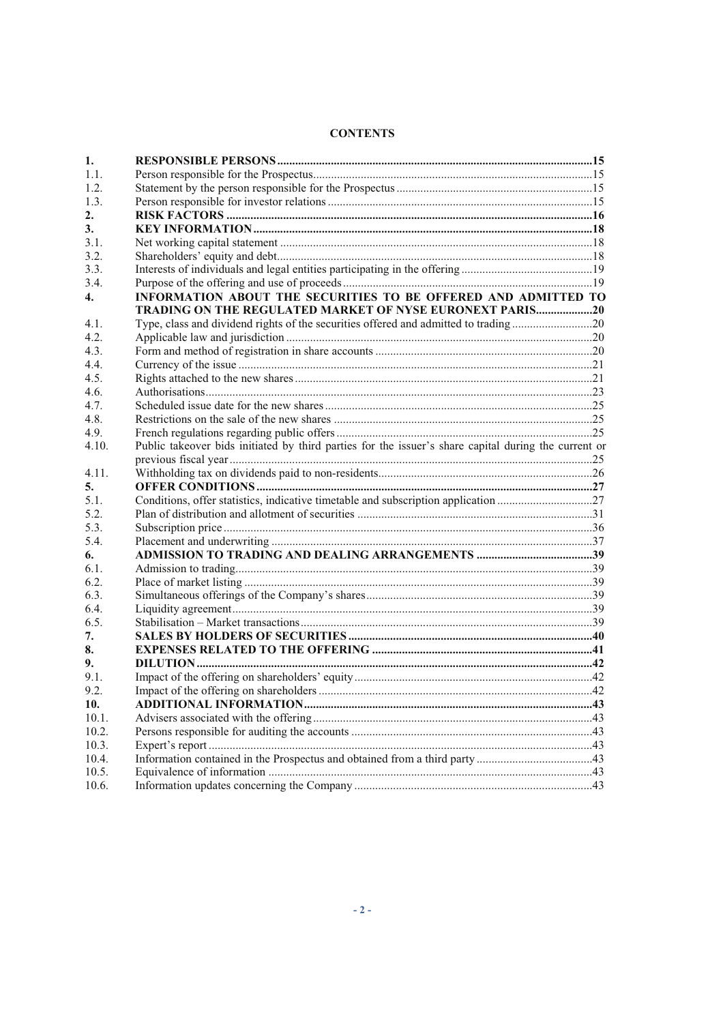| <b>CONTENTS</b> |
|-----------------|
|-----------------|

| 1.           |                                                                                                      |  |
|--------------|------------------------------------------------------------------------------------------------------|--|
| 1.1.         |                                                                                                      |  |
| 1.2.         |                                                                                                      |  |
| 1.3.         |                                                                                                      |  |
| 2.           |                                                                                                      |  |
| 3.           |                                                                                                      |  |
| 3.1.         |                                                                                                      |  |
| 3.2.         |                                                                                                      |  |
| 3.3.         |                                                                                                      |  |
| 3.4.         |                                                                                                      |  |
| $\mathbf{4}$ | INFORMATION ABOUT THE SECURITIES TO BE OFFERED AND ADMITTED TO                                       |  |
|              | TRADING ON THE REGULATED MARKET OF NYSE EURONEXT PARIS20                                             |  |
| 4.1.         |                                                                                                      |  |
| 4.2.         |                                                                                                      |  |
| 4.3.         |                                                                                                      |  |
| 4.4.         |                                                                                                      |  |
| 4.5.         |                                                                                                      |  |
| 4.6.         |                                                                                                      |  |
| 4.7.         |                                                                                                      |  |
| 4.8.         |                                                                                                      |  |
| 4.9.         |                                                                                                      |  |
| 4.10.        | Public takeover bids initiated by third parties for the issuer's share capital during the current or |  |
|              |                                                                                                      |  |
| 4.11.        |                                                                                                      |  |
| 5.           |                                                                                                      |  |
| 5.1.         |                                                                                                      |  |
| 5.2.         |                                                                                                      |  |
| 5.3.         |                                                                                                      |  |
| 5.4.         |                                                                                                      |  |
| 6.           |                                                                                                      |  |
| 6.1.         |                                                                                                      |  |
| 6.2.         |                                                                                                      |  |
| 6.3.         |                                                                                                      |  |
| 6.4.         |                                                                                                      |  |
| 6.5.         |                                                                                                      |  |
| 7.           |                                                                                                      |  |
| 8.<br>9.     |                                                                                                      |  |
| 9.1.         |                                                                                                      |  |
| 9.2.         |                                                                                                      |  |
| 10.          |                                                                                                      |  |
| 10.1.        |                                                                                                      |  |
| 10.2.        |                                                                                                      |  |
| 10.3.        |                                                                                                      |  |
| 10.4.        |                                                                                                      |  |
| 10.5.        |                                                                                                      |  |
| 10.6.        |                                                                                                      |  |
|              |                                                                                                      |  |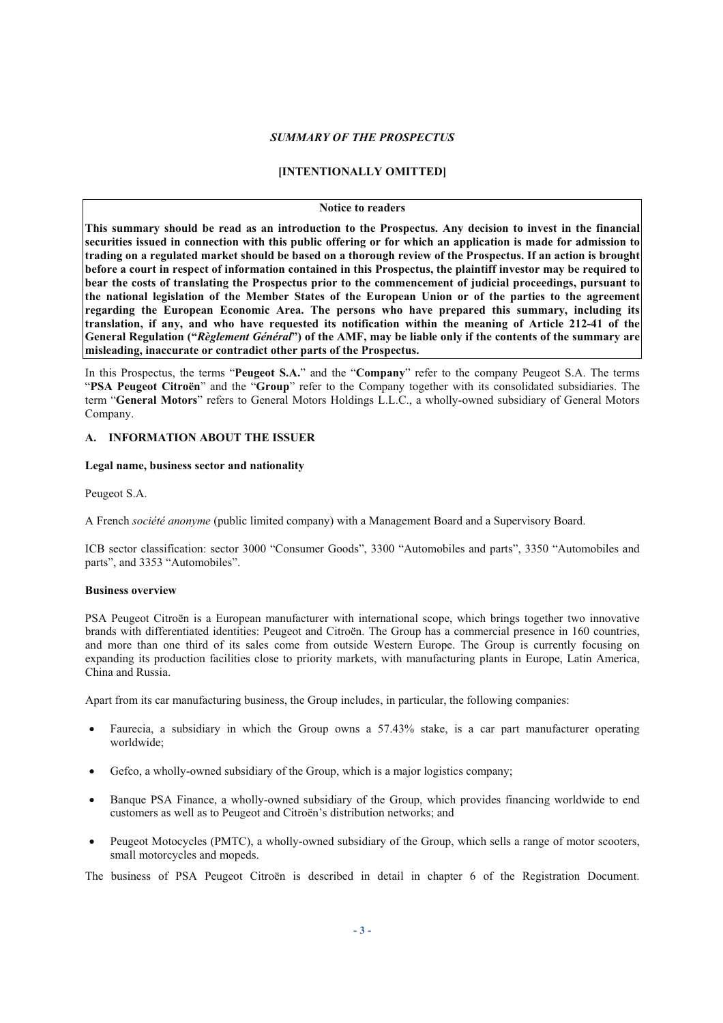#### *SUMMARY OF THE PROSPECTUS*

# **[INTENTIONALLY OMITTED]**

#### **Notice to readers**

**This summary should be read as an introduction to the Prospectus. Any decision to invest in the financial securities issued in connection with this public offering or for which an application is made for admission to trading on a regulated market should be based on a thorough review of the Prospectus. If an action is brought before a court in respect of information contained in this Prospectus, the plaintiff investor may be required to bear the costs of translating the Prospectus prior to the commencement of judicial proceedings, pursuant to the national legislation of the Member States of the European Union or of the parties to the agreement regarding the European Economic Area. The persons who have prepared this summary, including its translation, if any, and who have requested its notification within the meaning of Article 212-41 of the General Regulation ("***Règlement Général***") of the AMF, may be liable only if the contents of the summary are misleading, inaccurate or contradict other parts of the Prospectus.** 

In this Prospectus, the terms "**Peugeot S.A.**" and the "**Company**" refer to the company Peugeot S.A. The terms "**PSA Peugeot Citroën**" and the "**Group**" refer to the Company together with its consolidated subsidiaries. The term "**General Motors**" refers to General Motors Holdings L.L.C., a wholly-owned subsidiary of General Motors Company.

## **A. INFORMATION ABOUT THE ISSUER**

#### **Legal name, business sector and nationality**

Peugeot S.A.

A French *société anonyme* (public limited company) with a Management Board and a Supervisory Board.

ICB sector classification: sector 3000 "Consumer Goods", 3300 "Automobiles and parts", 3350 "Automobiles and parts", and 3353 "Automobiles".

## **Business overview**

PSA Peugeot Citroën is a European manufacturer with international scope, which brings together two innovative brands with differentiated identities: Peugeot and Citroën. The Group has a commercial presence in 160 countries, and more than one third of its sales come from outside Western Europe. The Group is currently focusing on expanding its production facilities close to priority markets, with manufacturing plants in Europe, Latin America, China and Russia.

Apart from its car manufacturing business, the Group includes, in particular, the following companies:

- Faurecia, a subsidiary in which the Group owns a 57.43% stake, is a car part manufacturer operating worldwide;
- Gefco, a wholly-owned subsidiary of the Group, which is a major logistics company;
- Banque PSA Finance, a wholly-owned subsidiary of the Group, which provides financing worldwide to end customers as well as to Peugeot and Citroën's distribution networks; and
- Peugeot Motocycles (PMTC), a wholly-owned subsidiary of the Group, which sells a range of motor scooters, small motorcycles and mopeds.

The business of PSA Peugeot Citroën is described in detail in chapter 6 of the Registration Document.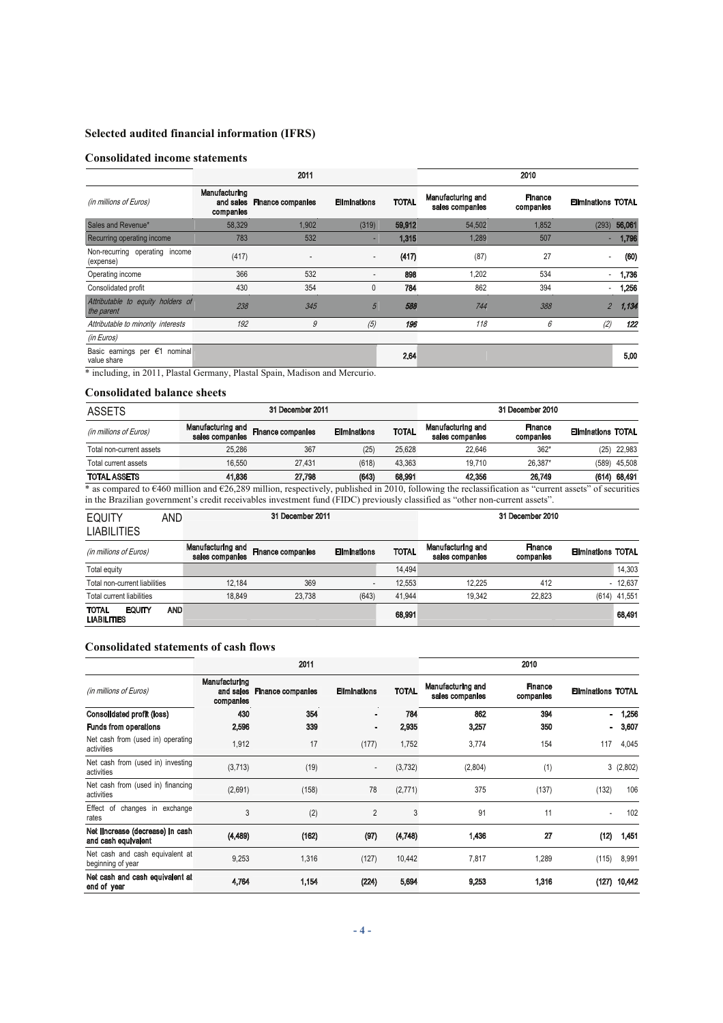# **Selected audited financial information (IFRS)**

# **Consolidated income statements**

|                                                           |                                         | 2011                     |                          |              |                                      | 2010                        |                           |        |
|-----------------------------------------------------------|-----------------------------------------|--------------------------|--------------------------|--------------|--------------------------------------|-----------------------------|---------------------------|--------|
| (in millions of Euros)                                    | Manufacturing<br>and sales<br>companies | <b>Finance companies</b> | <b>Eliminations</b>      | <b>TOTAL</b> | Manufacturing and<br>sales companies | <b>Finance</b><br>companies | <b>Eliminations TOTAL</b> |        |
| Sales and Revenue*                                        | 58,329                                  | 1,902                    | (319)                    | 59,912       | 54,502                               | 1,852                       | (293)                     | 56,061 |
| Recurring operating income                                | 783                                     | 532                      |                          | 1,315        | 1,289                                | 507                         |                           | 1,796  |
| Non-recurring operating income<br>(expense)               | (417)                                   | ٠                        | $\overline{\phantom{a}}$ | (417)        | (87)                                 | 27                          | $\blacksquare$            | (60)   |
| Operating income                                          | 366                                     | 532                      | $\overline{\phantom{a}}$ | 898          | 1,202                                | 534                         | $\sim$                    | 1,736  |
| Consolidated profit                                       | 430                                     | 354                      | 0                        | 784          | 862                                  | 394                         | $\overline{\phantom{a}}$  | 1,256  |
| Attributable to equity holders of<br>the parent           | 238                                     | 345                      | 5                        | 588          | 744                                  | 388                         | $\overline{2}$            | 1,134  |
| Attributable to minority interests                        | 192                                     | 9                        | (5)                      | 196          | 118                                  | 6                           | (2)                       | 122    |
| (in Euros)                                                |                                         |                          |                          |              |                                      |                             |                           |        |
| Basic earnings per $\epsilon$ 1<br>nominal<br>value share |                                         |                          |                          | 2.64         |                                      |                             |                           | 5.00   |

\* including, in 2011, Plastal Germany, Plastal Spain, Madison and Mercurio.

# **Consolidated balance sheets**

| <b>ASSETS</b>            |                                      | 31 December 2011         |                     |              | 31 December 2010                     |                      |                           |                |
|--------------------------|--------------------------------------|--------------------------|---------------------|--------------|--------------------------------------|----------------------|---------------------------|----------------|
| (in millions of Euros)   | Manufacturing and<br>sales companies | <b>Finance companies</b> | <b>Eliminations</b> | <b>TOTAL</b> | Manufacturing and<br>sales companies | Finance<br>companies | <b>Eliminations TOTAL</b> |                |
| Total non-current assets | 25.286                               | 367                      | (25)                | 25.628       | 22.646                               | $362*$               |                           | $(25)$ 22,983  |
| Total current assets     | 16.550                               | 27.431                   | (618)               | 43.363       | 19.710                               | 26.387*              |                           | $(589)$ 45,508 |
| <b>TOTAL ASSETS</b>      | 41.836                               | 27.798                   | (643)               | 68,991       | 42,356                               | 26.749               |                           | (614) 68,491   |

\* as compared to €460 million and €26,289 million, respectively, published in 2010, following the reclassification as "current assets" of securities in the Brazilian government's credit receivables investment fund (FIDC) previously classified as "other non-current assets".

| <b>EQUITY</b><br><b>LIABILITIES</b>          | AND        | 31 December 2011                     |                          |                     | 31 December 2010 |                                      |                      |                           |              |
|----------------------------------------------|------------|--------------------------------------|--------------------------|---------------------|------------------|--------------------------------------|----------------------|---------------------------|--------------|
| (in millions of Euros)                       |            | Manufacturing and<br>sales companies | <b>Finance companies</b> | <b>Eliminations</b> | <b>TOTAL</b>     | Manufacturing and<br>sales companies | Finance<br>companies | <b>Eliminations TOTAL</b> |              |
| Total equity                                 |            |                                      |                          |                     | 14.494           |                                      |                      |                           | 14.303       |
| Total non-current liabilities                |            | 12.184                               | 369                      |                     | 12.553           | 12.225                               | 412                  |                           | $-12.637$    |
| Total current liabilities                    |            | 18.849                               | 23.738                   | (643)               | 41.944           | 19.342                               | 22.823               |                           | (614) 41,551 |
| <b>EQUITY</b><br>TOTAL<br><b>LIABILITIES</b> | <b>AND</b> |                                      |                          |                     | 68,991           |                                      |                      |                           | 68,491       |

#### **Consolidated statements of cash flows**

|                                                         |                                         | 2011              |                          | 2010         |                                      |                             |                           |          |
|---------------------------------------------------------|-----------------------------------------|-------------------|--------------------------|--------------|--------------------------------------|-----------------------------|---------------------------|----------|
| (in millions of Euros)                                  | Manufacturing<br>and sales<br>companies | Finance companies | <b>Eliminations</b>      | <b>TOTAL</b> | Manufacturing and<br>sales companies | <b>Finance</b><br>companies | <b>Eliminations TOTAL</b> |          |
| <b>Consolidated profit (loss)</b>                       | 430                                     | 354               |                          | 784          | 862                                  | 394                         |                           | 1,256    |
| <b>Funds from operations</b>                            | 2,596                                   | 339               |                          | 2,935        | 3,257                                | 350                         | $\blacksquare$            | 3,607    |
| Net cash from (used in) operating<br>activities         | 1,912                                   | 17                | (177)                    | 1,752        | 3,774                                | 154                         | 117                       | 4,045    |
| Net cash from (used in) investing<br>activities         | (3,713)                                 | (19)              | $\overline{\phantom{a}}$ | (3, 732)     | (2,804)                              | (1)                         |                           | 3(2,802) |
| Net cash from (used in) financing<br>activities         | (2,691)                                 | (158)             | 78                       | (2,771)      | 375                                  | (137)                       | (132)                     | 106      |
| Effect of changes in exchange<br>rates                  | 3                                       | (2)               | $\overline{2}$           | 3            | 91                                   | 11                          |                           | 102      |
| Net ilncrease (decrease) in cash<br>and cash equivalent | (4,489)                                 | (162)             | (97)                     | (4,748)      | 1,436                                | 27                          | (12)                      | 1,451    |
| Net cash and cash equivalent at<br>beginning of year    | 9,253                                   | 1,316             | (127)                    | 10,442       | 7,817                                | 1,289                       | (115)                     | 8,991    |
| Net cash and cash equivalent at<br>end of year          | 4,764                                   | 1,154             | (224)                    | 5,694        | 9.253                                | 1,316                       | (127)                     | 10,442   |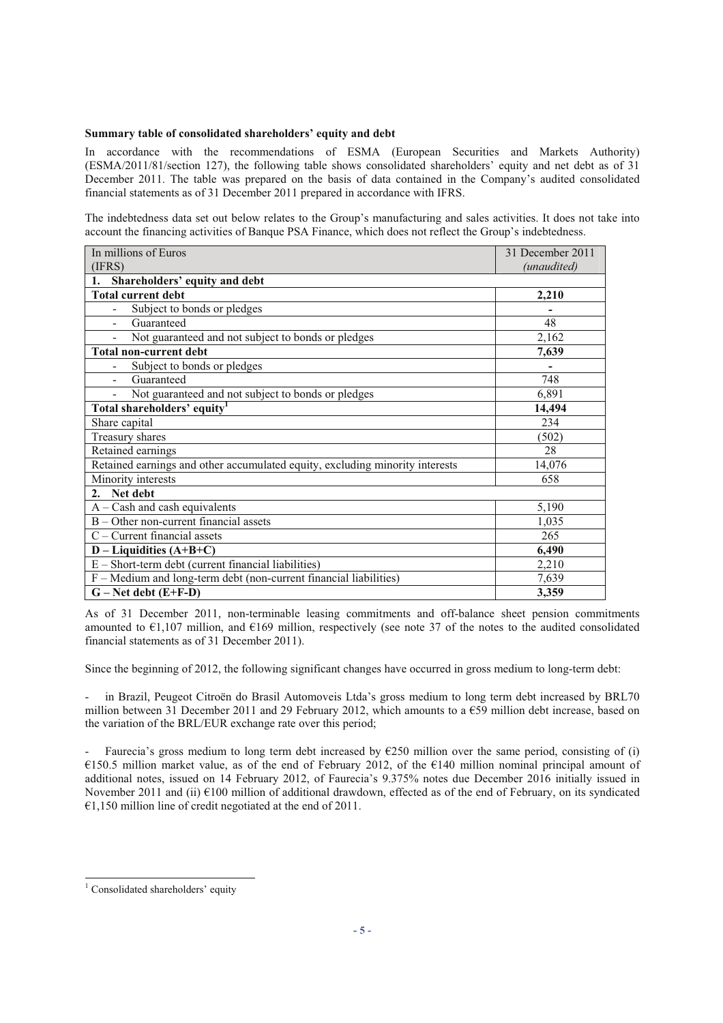#### **Summary table of consolidated shareholders' equity and debt**

In accordance with the recommendations of ESMA (European Securities and Markets Authority) (ESMA/2011/81/section 127), the following table shows consolidated shareholders' equity and net debt as of 31 December 2011. The table was prepared on the basis of data contained in the Company's audited consolidated financial statements as of 31 December 2011 prepared in accordance with IFRS.

The indebtedness data set out below relates to the Group's manufacturing and sales activities. It does not take into account the financing activities of Banque PSA Finance, which does not reflect the Group's indebtedness.

| In millions of Euros                                                         | 31 December 2011 |
|------------------------------------------------------------------------------|------------------|
| (IFRS)                                                                       | (unaudited)      |
| Shareholders' equity and debt<br>1.                                          |                  |
| <b>Total current debt</b>                                                    | 2,210            |
| Subject to bonds or pledges                                                  |                  |
| Guaranteed                                                                   | 48               |
| Not guaranteed and not subject to bonds or pledges                           | 2,162            |
| <b>Total non-current debt</b>                                                | 7,639            |
| Subject to bonds or pledges                                                  |                  |
| Guaranteed                                                                   | 748              |
| Not guaranteed and not subject to bonds or pledges                           | 6,891            |
| Total shareholders' equity <sup>1</sup>                                      | 14,494           |
| Share capital                                                                | 234              |
| Treasury shares                                                              | (502)            |
| Retained earnings                                                            | 28               |
| Retained earnings and other accumulated equity, excluding minority interests | 14,076           |
| Minority interests                                                           | 658              |
| Net debt<br>2.                                                               |                  |
| $A - Cash$ and cash equivalents                                              | 5,190            |
| B - Other non-current financial assets                                       | 1,035            |
| $C$ – Current financial assets                                               | 265              |
| $D - Liquidities (A+B+C)$                                                    | 6,490            |
| $E - Short-term debt$ (current financial liabilities)                        | 2,210            |
| F - Medium and long-term debt (non-current financial liabilities)            | 7,639            |
| $G - Net debt (E+F-D)$                                                       | 3,359            |

As of 31 December 2011, non-terminable leasing commitments and off-balance sheet pension commitments amounted to  $\epsilon$ 1,107 million, and  $\epsilon$ 169 million, respectively (see note 37 of the notes to the audited consolidated financial statements as of 31 December 2011).

Since the beginning of 2012, the following significant changes have occurred in gross medium to long-term debt:

in Brazil, Peugeot Citroën do Brasil Automoveis Ltda's gross medium to long term debt increased by BRL70 million between 31 December 2011 and 29 February 2012, which amounts to a  $\epsilon$ 59 million debt increase, based on the variation of the BRL/EUR exchange rate over this period;

Faurecia's gross medium to long term debt increased by  $\epsilon$ 250 million over the same period, consisting of (i) €150.5 million market value, as of the end of February 2012, of the €140 million nominal principal amount of additional notes, issued on 14 February 2012, of Faurecia's 9.375% notes due December 2016 initially issued in November 2011 and (ii) €100 million of additional drawdown, effected as of the end of February, on its syndicated  $€1,150$  million line of credit negotiated at the end of 2011.

<sup>&</sup>lt;sup>1</sup> Consolidated shareholders' equity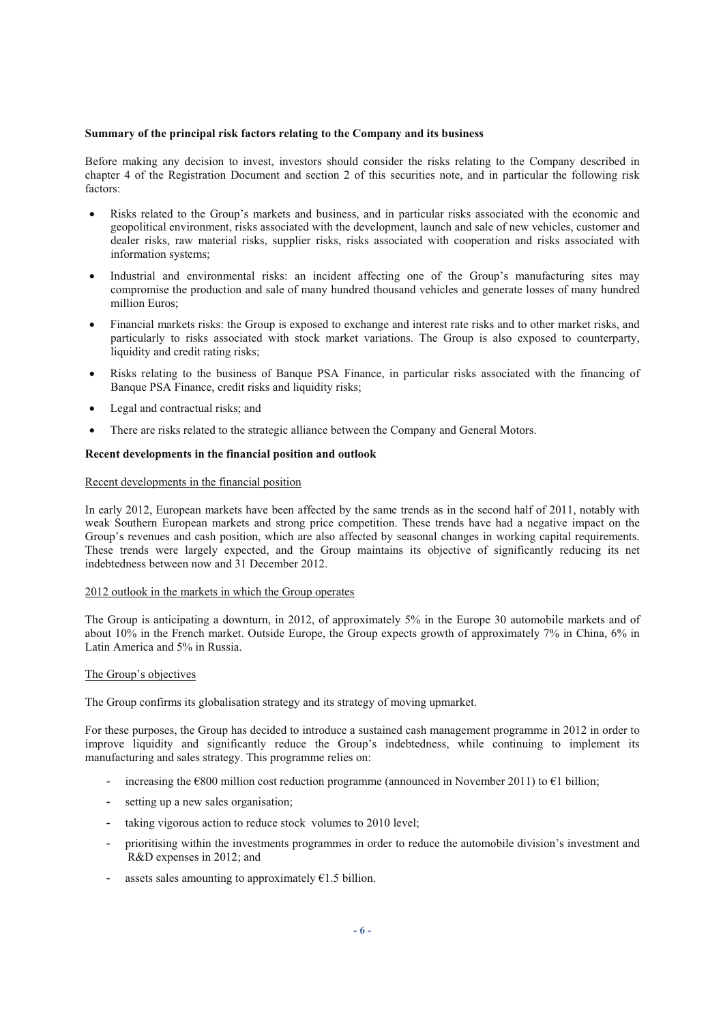#### **Summary of the principal risk factors relating to the Company and its business**

Before making any decision to invest, investors should consider the risks relating to the Company described in chapter 4 of the Registration Document and section 2 of this securities note, and in particular the following risk factors:

- Risks related to the Group's markets and business, and in particular risks associated with the economic and geopolitical environment, risks associated with the development, launch and sale of new vehicles, customer and dealer risks, raw material risks, supplier risks, risks associated with cooperation and risks associated with information systems;
- Industrial and environmental risks: an incident affecting one of the Group's manufacturing sites may compromise the production and sale of many hundred thousand vehicles and generate losses of many hundred million Euros;
- Financial markets risks: the Group is exposed to exchange and interest rate risks and to other market risks, and particularly to risks associated with stock market variations. The Group is also exposed to counterparty, liquidity and credit rating risks;
- Risks relating to the business of Banque PSA Finance, in particular risks associated with the financing of Banque PSA Finance, credit risks and liquidity risks;
- Legal and contractual risks; and
- There are risks related to the strategic alliance between the Company and General Motors.

#### **Recent developments in the financial position and outlook**

#### Recent developments in the financial position

In early 2012, European markets have been affected by the same trends as in the second half of 2011, notably with weak Southern European markets and strong price competition. These trends have had a negative impact on the Group's revenues and cash position, which are also affected by seasonal changes in working capital requirements. These trends were largely expected, and the Group maintains its objective of significantly reducing its net indebtedness between now and 31 December 2012.

#### 2012 outlook in the markets in which the Group operates

The Group is anticipating a downturn, in 2012, of approximately 5% in the Europe 30 automobile markets and of about 10% in the French market. Outside Europe, the Group expects growth of approximately 7% in China, 6% in Latin America and 5% in Russia.

#### The Group's objectives

The Group confirms its globalisation strategy and its strategy of moving upmarket.

For these purposes, the Group has decided to introduce a sustained cash management programme in 2012 in order to improve liquidity and significantly reduce the Group's indebtedness, while continuing to implement its manufacturing and sales strategy. This programme relies on:

- increasing the  $\epsilon$ 800 million cost reduction programme (announced in November 2011) to  $\epsilon$ 1 billion;
- setting up a new sales organisation;
- taking vigorous action to reduce stock volumes to 2010 level;
- prioritising within the investments programmes in order to reduce the automobile division's investment and R&D expenses in 2012; and
- assets sales amounting to approximately  $\epsilon$ 1.5 billion.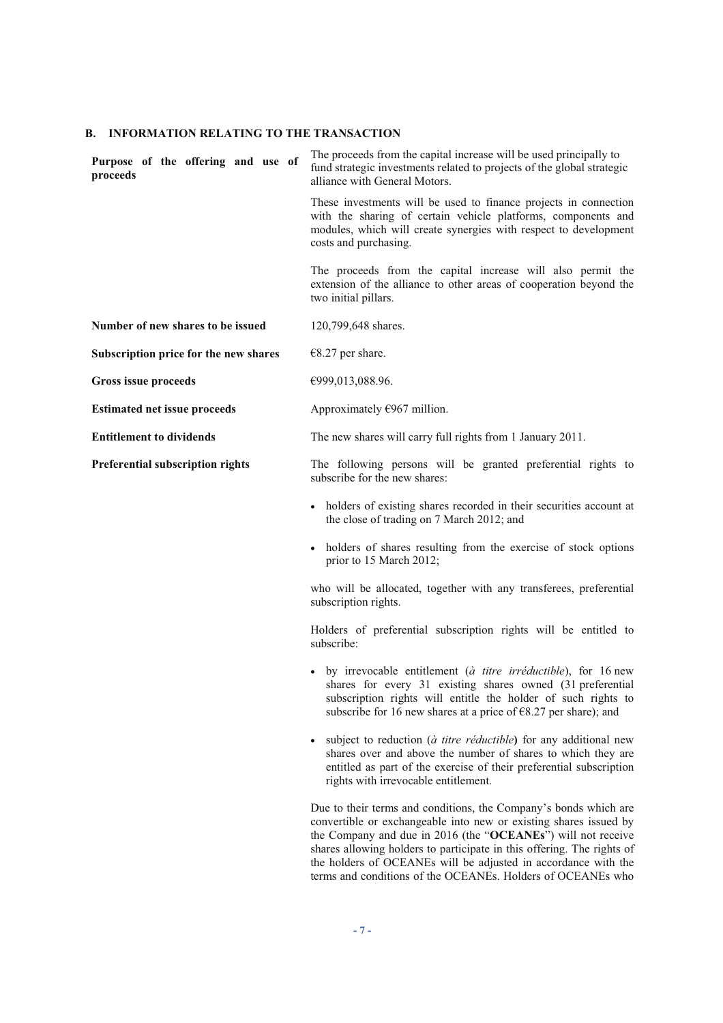#### **B. INFORMATION RELATING TO THE TRANSACTION**

**Purpose of the offering and use of proceeds** The proceeds from the capital increase will be used principally to fund strategic investments related to projects of the global strategic alliance with General Motors. These investments will be used to finance projects in connection with the sharing of certain vehicle platforms, components and modules, which will create synergies with respect to development costs and purchasing. The proceeds from the capital increase will also permit the extension of the alliance to other areas of cooperation beyond the two initial pillars. **Number of new shares to be issued** 120,799,648 shares. **Subscription price for the new shares** €8.27 per share. **Gross issue proceeds** €999,013,088.96. **Estimated net issue proceeds**  $\qquad$  Approximately  $\epsilon$ 967 million. **Entitlement to dividends** The new shares will carry full rights from 1 January 2011. **Preferential subscription rights** The following persons will be granted preferential rights to subscribe for the new shares: holders of existing shares recorded in their securities account at the close of trading on 7 March 2012; and holders of shares resulting from the exercise of stock options prior to 15 March 2012; who will be allocated, together with any transferees, preferential

subscription rights.

Holders of preferential subscription rights will be entitled to subscribe:

- by irrevocable entitlement (*à titre irréductible*), for 16 new shares for every 31 existing shares owned (31 preferential subscription rights will entitle the holder of such rights to subscribe for 16 new shares at a price of  $\epsilon$ 8.27 per share); and
- subject to reduction (*à titre réductible***)** for any additional new shares over and above the number of shares to which they are entitled as part of the exercise of their preferential subscription rights with irrevocable entitlement.

Due to their terms and conditions, the Company's bonds which are convertible or exchangeable into new or existing shares issued by the Company and due in 2016 (the "**OCEANEs**") will not receive shares allowing holders to participate in this offering. The rights of the holders of OCEANEs will be adjusted in accordance with the terms and conditions of the OCEANEs. Holders of OCEANEs who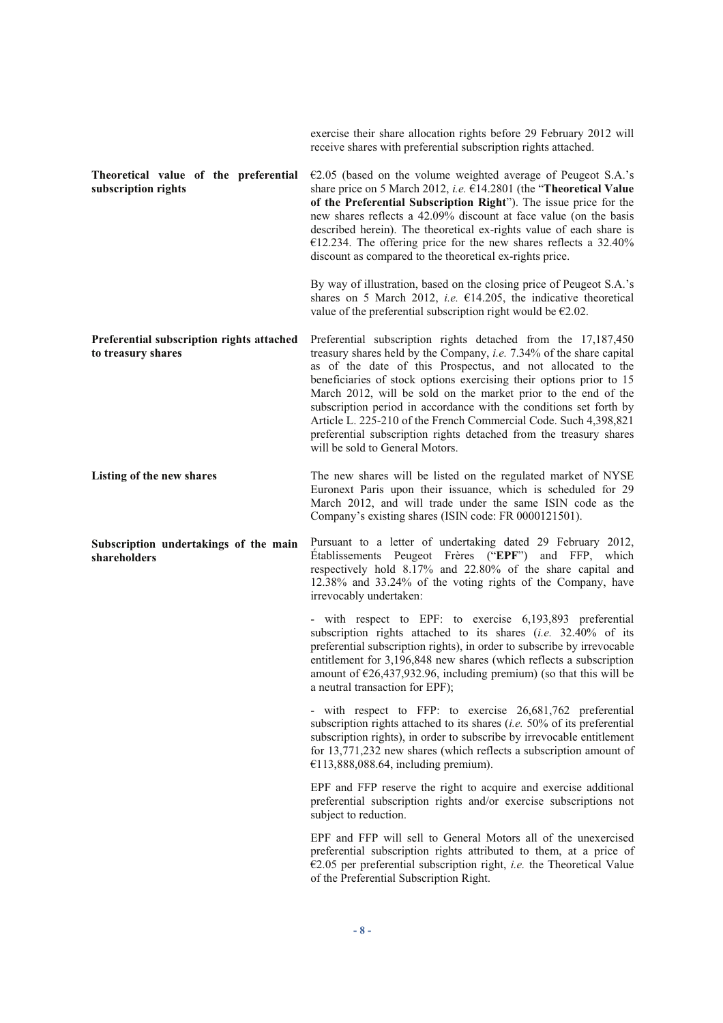|                                                                 | exercise their share allocation rights before 29 February 2012 will<br>receive shares with preferential subscription rights attached.                                                                                                                                                                                                                                                                                                                                                                                                                                                            |
|-----------------------------------------------------------------|--------------------------------------------------------------------------------------------------------------------------------------------------------------------------------------------------------------------------------------------------------------------------------------------------------------------------------------------------------------------------------------------------------------------------------------------------------------------------------------------------------------------------------------------------------------------------------------------------|
| Theoretical value of the preferential<br>subscription rights    | $E2.05$ (based on the volume weighted average of Peugeot S.A.'s<br>share price on 5 March 2012, i.e. €14.2801 (the "Theoretical Value<br>of the Preferential Subscription Right"). The issue price for the<br>new shares reflects a 42.09% discount at face value (on the basis<br>described herein). The theoretical ex-rights value of each share is<br>€12.234. The offering price for the new shares reflects a $32.40\%$<br>discount as compared to the theoretical ex-rights price.                                                                                                        |
|                                                                 | By way of illustration, based on the closing price of Peugeot S.A.'s<br>shares on 5 March 2012, <i>i.e.</i> $\epsilon$ 14.205, the indicative theoretical<br>value of the preferential subscription right would be $\epsilon$ 2.02.                                                                                                                                                                                                                                                                                                                                                              |
| Preferential subscription rights attached<br>to treasury shares | Preferential subscription rights detached from the 17,187,450<br>treasury shares held by the Company, i.e. 7.34% of the share capital<br>as of the date of this Prospectus, and not allocated to the<br>beneficiaries of stock options exercising their options prior to 15<br>March 2012, will be sold on the market prior to the end of the<br>subscription period in accordance with the conditions set forth by<br>Article L. 225-210 of the French Commercial Code. Such 4,398,821<br>preferential subscription rights detached from the treasury shares<br>will be sold to General Motors. |
| Listing of the new shares                                       | The new shares will be listed on the regulated market of NYSE<br>Euronext Paris upon their issuance, which is scheduled for 29<br>March 2012, and will trade under the same ISIN code as the<br>Company's existing shares (ISIN code: FR 0000121501).                                                                                                                                                                                                                                                                                                                                            |
| Subscription undertakings of the main<br>shareholders           | Pursuant to a letter of undertaking dated 29 February 2012,<br>Etablissements Peugeot Frères ("EPF") and FFP, which<br>respectively hold 8.17% and 22.80% of the share capital and<br>12.38% and 33.24% of the voting rights of the Company, have<br>irrevocably undertaken:                                                                                                                                                                                                                                                                                                                     |
|                                                                 | - with respect to EPF: to exercise 6,193,893 preferential<br>subscription rights attached to its shares (i.e. 32.40% of its<br>preferential subscription rights), in order to subscribe by irrevocable<br>entitlement for 3,196,848 new shares (which reflects a subscription<br>amount of $\epsilon$ 26,437,932.96, including premium) (so that this will be<br>a neutral transaction for EPF);                                                                                                                                                                                                 |
|                                                                 | - with respect to FFP: to exercise 26,681,762 preferential<br>subscription rights attached to its shares (i.e. $50\%$ of its preferential<br>subscription rights), in order to subscribe by irrevocable entitlement<br>for 13,771,232 new shares (which reflects a subscription amount of<br>$€113,888,088.64$ , including premium).                                                                                                                                                                                                                                                             |
|                                                                 | EPF and FFP reserve the right to acquire and exercise additional<br>preferential subscription rights and/or exercise subscriptions not<br>subject to reduction.                                                                                                                                                                                                                                                                                                                                                                                                                                  |
|                                                                 | EPF and FFP will sell to General Motors all of the unexercised<br>preferential subscription rights attributed to them, at a price of<br>€2.05 per preferential subscription right, <i>i.e.</i> the Theoretical Value<br>of the Preferential Subscription Right.                                                                                                                                                                                                                                                                                                                                  |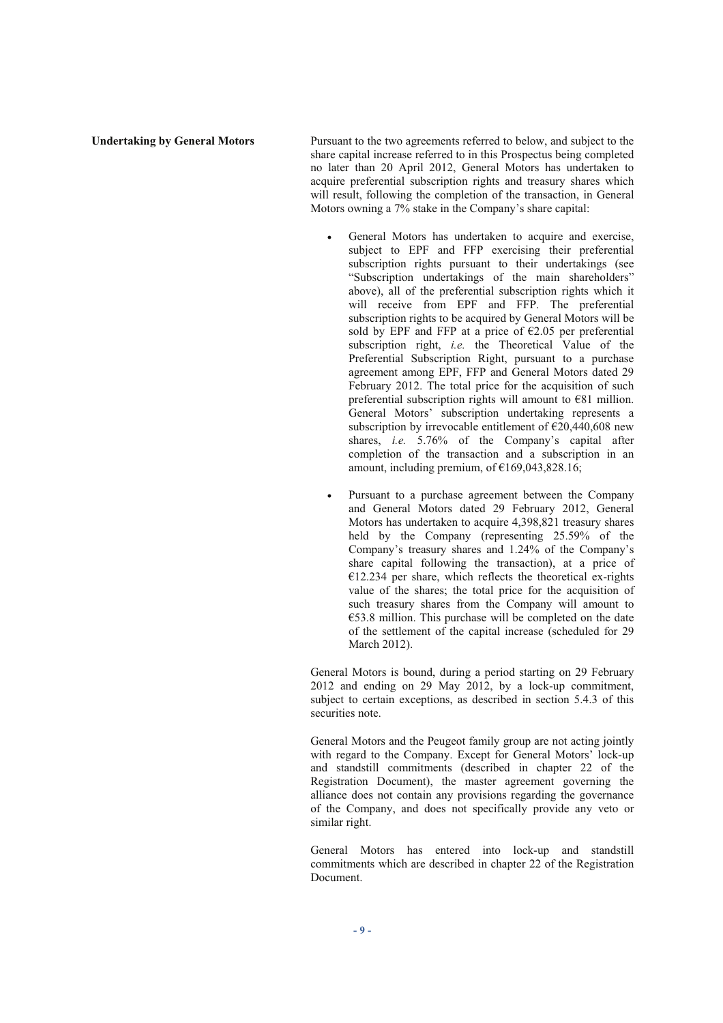**Undertaking by General Motors** Pursuant to the two agreements referred to below, and subject to the share capital increase referred to in this Prospectus being completed no later than 20 April 2012, General Motors has undertaken to acquire preferential subscription rights and treasury shares which will result, following the completion of the transaction, in General Motors owning a 7% stake in the Company's share capital:

- General Motors has undertaken to acquire and exercise, subject to EPF and FFP exercising their preferential subscription rights pursuant to their undertakings (see "Subscription undertakings of the main shareholders" above), all of the preferential subscription rights which it will receive from EPF and FFP. The preferential subscription rights to be acquired by General Motors will be sold by EPF and FFP at a price of  $\epsilon$ 2.05 per preferential subscription right, *i.e.* the Theoretical Value of the Preferential Subscription Right, pursuant to a purchase agreement among EPF, FFP and General Motors dated 29 February 2012. The total price for the acquisition of such preferential subscription rights will amount to €81 million. General Motors' subscription undertaking represents a subscription by irrevocable entitlement of  $\epsilon$ 20,440,608 new shares, *i.e.* 5.76% of the Company's capital after completion of the transaction and a subscription in an amount, including premium, of  $\epsilon$ 169,043,828.16;
- Pursuant to a purchase agreement between the Company and General Motors dated 29 February 2012, General Motors has undertaken to acquire 4,398,821 treasury shares held by the Company (representing 25.59% of the Company's treasury shares and 1.24% of the Company's share capital following the transaction), at a price of  $€12.234$  per share, which reflects the theoretical ex-rights value of the shares; the total price for the acquisition of such treasury shares from the Company will amount to €53.8 million. This purchase will be completed on the date of the settlement of the capital increase (scheduled for 29 March 2012).

General Motors is bound, during a period starting on 29 February 2012 and ending on 29 May 2012, by a lock-up commitment, subject to certain exceptions, as described in section 5.4.3 of this securities note.

General Motors and the Peugeot family group are not acting jointly with regard to the Company. Except for General Motors' lock-up and standstill commitments (described in chapter 22 of the Registration Document), the master agreement governing the alliance does not contain any provisions regarding the governance of the Company, and does not specifically provide any veto or similar right.

General Motors has entered into lock-up and standstill commitments which are described in chapter 22 of the Registration Document.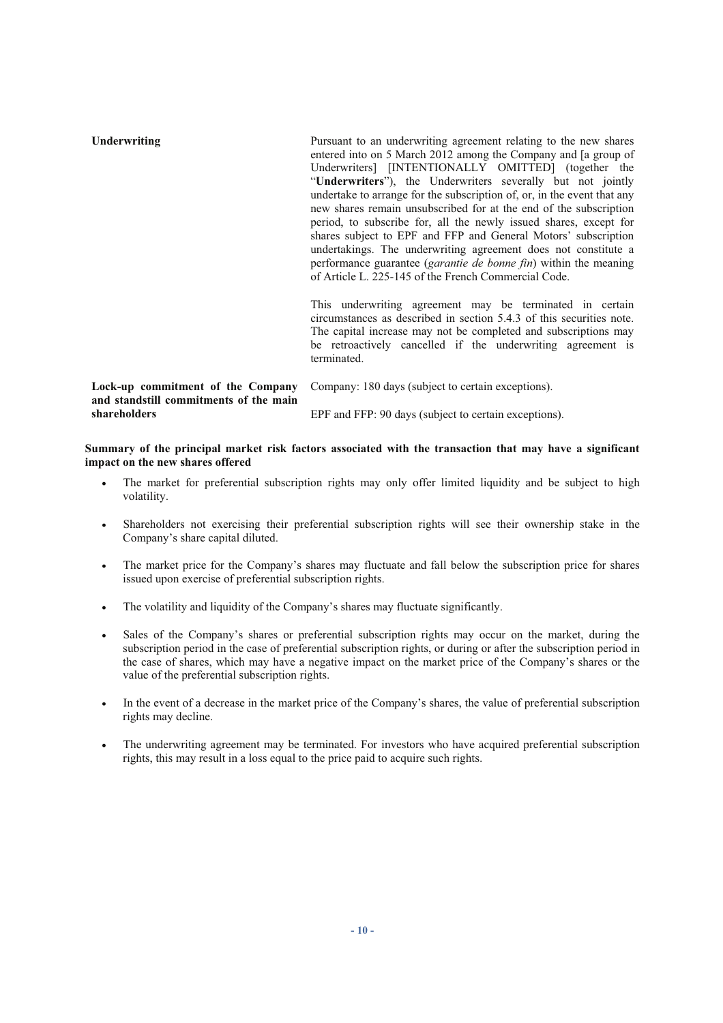| Underwriting                                                                                | Pursuant to an underwriting agreement relating to the new shares<br>entered into on 5 March 2012 among the Company and [a group of<br>Underwriters [INTENTIONALLY OMITTED] (together the<br>"Underwriters"), the Underwriters severally but not jointly<br>undertake to arrange for the subscription of, or, in the event that any<br>new shares remain unsubscribed for at the end of the subscription<br>period, to subscribe for, all the newly issued shares, except for<br>shares subject to EPF and FFP and General Motors' subscription<br>undertakings. The underwriting agreement does not constitute a<br>performance guarantee ( <i>garantie de bonne fin</i> ) within the meaning<br>of Article L. 225-145 of the French Commercial Code. |  |  |  |  |
|---------------------------------------------------------------------------------------------|-------------------------------------------------------------------------------------------------------------------------------------------------------------------------------------------------------------------------------------------------------------------------------------------------------------------------------------------------------------------------------------------------------------------------------------------------------------------------------------------------------------------------------------------------------------------------------------------------------------------------------------------------------------------------------------------------------------------------------------------------------|--|--|--|--|
|                                                                                             | This underwriting agreement may be terminated in certain<br>circumstances as described in section 5.4.3 of this securities note.<br>The capital increase may not be completed and subscriptions may<br>be retroactively cancelled if the underwriting agreement is<br>terminated.                                                                                                                                                                                                                                                                                                                                                                                                                                                                     |  |  |  |  |
| Lock-up commitment of the Company<br>and standstill commitments of the main<br>shareholders | Company: 180 days (subject to certain exceptions).                                                                                                                                                                                                                                                                                                                                                                                                                                                                                                                                                                                                                                                                                                    |  |  |  |  |
|                                                                                             | EPF and FFP: 90 days (subject to certain exceptions).                                                                                                                                                                                                                                                                                                                                                                                                                                                                                                                                                                                                                                                                                                 |  |  |  |  |

**Summary of the principal market risk factors associated with the transaction that may have a significant impact on the new shares offered** 

- The market for preferential subscription rights may only offer limited liquidity and be subject to high volatility.
- Shareholders not exercising their preferential subscription rights will see their ownership stake in the Company's share capital diluted.
- The market price for the Company's shares may fluctuate and fall below the subscription price for shares issued upon exercise of preferential subscription rights.
- The volatility and liquidity of the Company's shares may fluctuate significantly.
- Sales of the Company's shares or preferential subscription rights may occur on the market, during the subscription period in the case of preferential subscription rights, or during or after the subscription period in the case of shares, which may have a negative impact on the market price of the Company's shares or the value of the preferential subscription rights.
- In the event of a decrease in the market price of the Company's shares, the value of preferential subscription rights may decline.
- The underwriting agreement may be terminated. For investors who have acquired preferential subscription rights, this may result in a loss equal to the price paid to acquire such rights.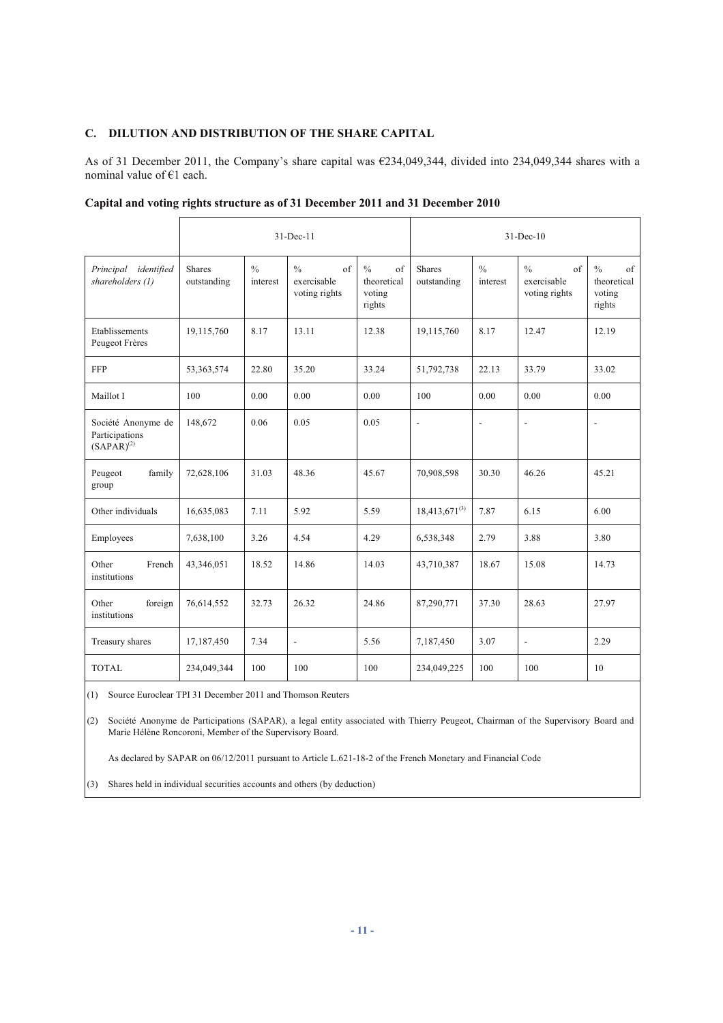# **C. DILUTION AND DISTRIBUTION OF THE SHARE CAPITAL**

As of 31 December 2011, the Company's share capital was €234,049,344, divided into 234,049,344 shares with a nominal value of €1 each.

|                                                         | $31 - Dec-11$                |                           |                                                             |                                                                | $31-Dec-10$                  |                           |                                                             |                                                        |
|---------------------------------------------------------|------------------------------|---------------------------|-------------------------------------------------------------|----------------------------------------------------------------|------------------------------|---------------------------|-------------------------------------------------------------|--------------------------------------------------------|
| Principal identified<br>shareholders (1)                | <b>Shares</b><br>outstanding | $\frac{0}{0}$<br>interest | $\frac{0}{0}$<br>$\sigma$ f<br>exercisable<br>voting rights | $\frac{0}{0}$<br>$\sigma$ f<br>theoretical<br>voting<br>rights | <b>Shares</b><br>outstanding | $\frac{0}{0}$<br>interest | $\frac{0}{0}$<br>$\sigma$ f<br>exercisable<br>voting rights | $\frac{0}{0}$<br>of<br>theoretical<br>voting<br>rights |
| Etablissements<br>Peugeot Frères                        | 19,115,760                   | 8.17                      | 13.11                                                       | 12.38                                                          | 19,115,760                   | 8.17                      | 12.47                                                       | 12.19                                                  |
| <b>FFP</b>                                              | 53, 363, 574                 | 22.80                     | 35.20                                                       | 33.24                                                          | 51,792,738                   | 22.13                     | 33.79                                                       | 33.02                                                  |
| Maillot I                                               | 100                          | 0.00                      | 0.00                                                        | 0.00                                                           | 100                          | 0.00                      | 0.00                                                        | 0.00                                                   |
| Société Anonyme de<br>Participations<br>$(SAPAR)^{(2)}$ | 148,672                      | 0.06                      | 0.05                                                        | 0.05                                                           | $\overline{\phantom{a}}$     | $\blacksquare$            | L,                                                          | $\blacksquare$                                         |
| Peugeot<br>family<br>group                              | 72,628,106                   | 31.03                     | 48.36                                                       | 45.67                                                          | 70,908,598                   | 30.30                     | 46.26                                                       | 45.21                                                  |
| Other individuals                                       | 16,635,083                   | 7.11                      | 5.92                                                        | 5.59                                                           | $18,413,671^{(3)}$           | 7.87                      | 6.15                                                        | 6.00                                                   |
| Employees                                               | 7,638,100                    | 3.26                      | 4.54                                                        | 4.29                                                           | 6,538,348                    | 2.79                      | 3.88                                                        | 3.80                                                   |
| Other<br>French<br>institutions                         | 43,346,051                   | 18.52                     | 14.86                                                       | 14.03                                                          | 43,710,387                   | 18.67                     | 15.08                                                       | 14.73                                                  |
| Other<br>foreign<br>institutions                        | 76,614,552                   | 32.73                     | 26.32                                                       | 24.86                                                          | 87,290,771                   | 37.30                     | 28.63                                                       | 27.97                                                  |
| Treasury shares                                         | 17,187,450                   | 7.34                      | $\overline{\phantom{a}}$                                    | 5.56                                                           | 7,187,450                    | 3.07                      | ÷,                                                          | 2.29                                                   |
| <b>TOTAL</b>                                            | 234,049,344                  | 100                       | 100                                                         | 100                                                            | 234,049,225                  | 100                       | 100                                                         | 10                                                     |

|  | Capital and voting rights structure as of 31 December 2011 and 31 December 2010 |  |  |
|--|---------------------------------------------------------------------------------|--|--|
|  |                                                                                 |  |  |

(1) Source Euroclear TPI 31 December 2011 and Thomson Reuters

(2) Société Anonyme de Participations (SAPAR), a legal entity associated with Thierry Peugeot, Chairman of the Supervisory Board and Marie Hélène Roncoroni, Member of the Supervisory Board.

As declared by SAPAR on 06/12/2011 pursuant to Article L.621-18-2 of the French Monetary and Financial Code

(3) Shares held in individual securities accounts and others (by deduction)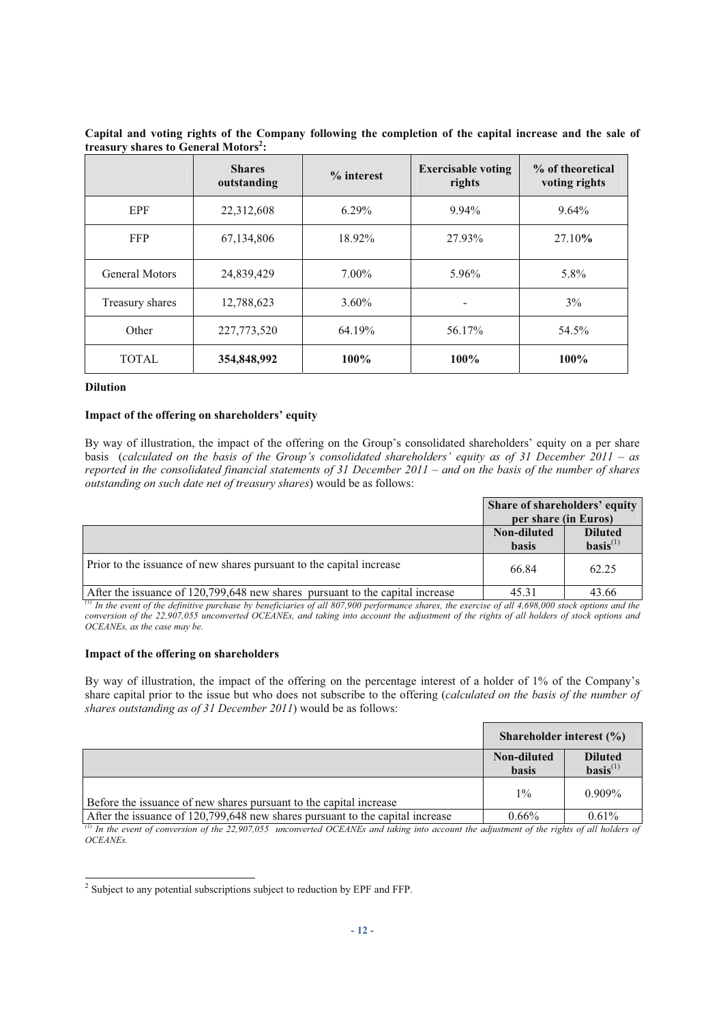|                       | <b>Shares</b><br>outstanding | $%$ interest | <b>Exercisable voting</b><br>rights | % of theoretical<br>voting rights |
|-----------------------|------------------------------|--------------|-------------------------------------|-----------------------------------|
| <b>EPF</b>            | 22,312,608                   | $6.29\%$     | 9.94%                               | $9.64\%$                          |
| <b>FFP</b>            | 67,134,806                   | 18.92%       | 27.93%                              | 27.10%                            |
| <b>General Motors</b> | 24,839,429                   | $7.00\%$     | 5.96%                               | 5.8%                              |
| Treasury shares       | 12,788,623                   | $3.60\%$     | -                                   | $3\%$                             |
| Other                 | 227,773,520                  | 64.19%       | 56.17%                              | 54.5%                             |
| <b>TOTAL</b>          | 354,848,992                  | $100\%$      | $100\%$                             | 100%                              |

**Capital and voting rights of the Company following the completion of the capital increase and the sale of treasury shares to General Motors<sup>2</sup> :**

#### **Dilution**

#### **Impact of the offering on shareholders' equity**

By way of illustration, the impact of the offering on the Group's consolidated shareholders' equity on a per share basis (*calculated on the basis of the Group's consolidated shareholders' equity as of 31 December 2011 – as reported in the consolidated financial statements of 31 December 2011 – and on the basis of the number of shares outstanding on such date net of treasury shares*) would be as follows:

|                                                                               | Share of shareholders' equity |                                          |
|-------------------------------------------------------------------------------|-------------------------------|------------------------------------------|
|                                                                               | per share (in Euros)          |                                          |
|                                                                               | Non-diluted<br><b>basis</b>   | <b>Diluted</b><br>$\textbf{basis}^{(1)}$ |
| Prior to the issuance of new shares pursuant to the capital increase          | 66.84                         | 62.25                                    |
| After the issuance of 120,799,648 new shares pursuant to the capital increase | 45.31                         | 43.66                                    |

<sup>(1)</sup> In the event of the definitive purchase by beneficiaries of all 807,900 performance shares, the exercise of all 4,698,000 stock options and the *conversion of the 22,907,055 unconverted OCEANEs, and taking into account the adjustment of the rights of all holders of stock options and OCEANEs, as the case may be.* 

#### **Impact of the offering on shareholders**

By way of illustration, the impact of the offering on the percentage interest of a holder of 1% of the Company's share capital prior to the issue but who does not subscribe to the offering (*calculated on the basis of the number of shares outstanding as of 31 December 2011*) would be as follows:

|                                                                               | Shareholder interest $(\% )$ |                                 |
|-------------------------------------------------------------------------------|------------------------------|---------------------------------|
|                                                                               | Non-diluted<br><b>basis</b>  | <b>Diluted</b><br>$basis^{(1)}$ |
| Before the issuance of new shares pursuant to the capital increase            | $1\%$                        | $0.909\%$                       |
| After the issuance of 120,799,648 new shares pursuant to the capital increase | $0.66\%$                     | 0.61%                           |

 $\alpha$ <sup>*II</sup> In the event of conversion of the 22,907,055 unconverted OCEANEs and taking into account the adjustment of the rights of all holders of*</sup> *OCEANEs.* 

<sup>&</sup>lt;sup>2</sup> Subject to any potential subscriptions subject to reduction by EPF and FFP.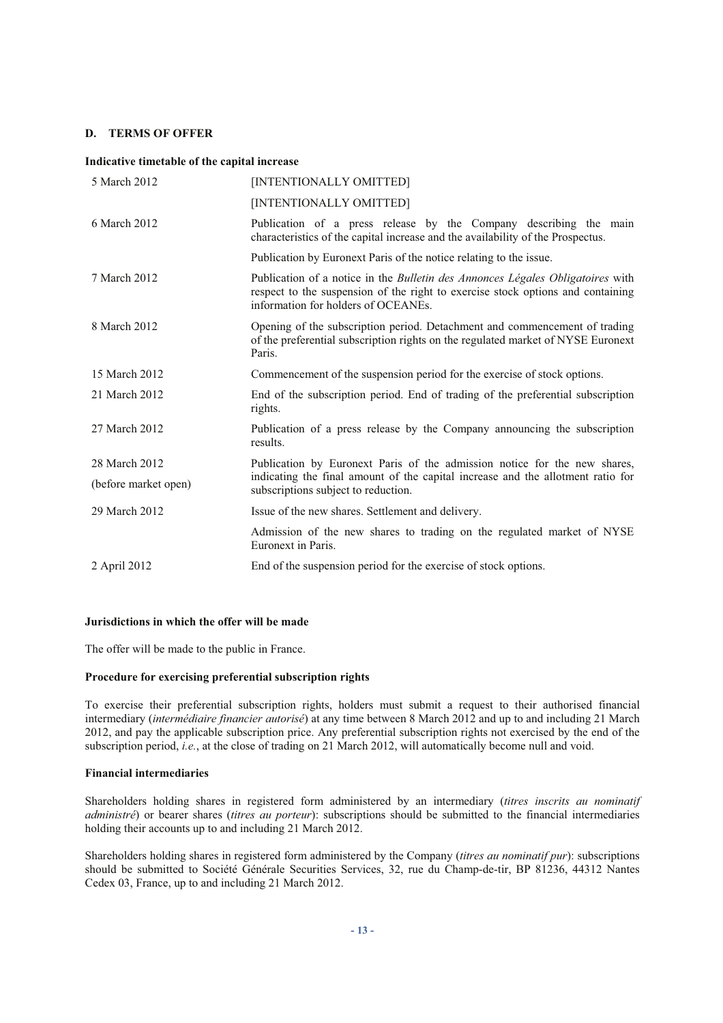#### **D. TERMS OF OFFER**

#### **Indicative timetable of the capital increase**

| 5 March 2012         | [INTENTIONALLY OMITTED]                                                                                                                                                                                         |  |
|----------------------|-----------------------------------------------------------------------------------------------------------------------------------------------------------------------------------------------------------------|--|
|                      | [INTENTIONALLY OMITTED]                                                                                                                                                                                         |  |
| 6 March 2012         | Publication of a press release by the Company describing the main<br>characteristics of the capital increase and the availability of the Prospectus.                                                            |  |
|                      | Publication by Euronext Paris of the notice relating to the issue.                                                                                                                                              |  |
| 7 March 2012         | Publication of a notice in the <i>Bulletin des Annonces Légales Obligatoires</i> with<br>respect to the suspension of the right to exercise stock options and containing<br>information for holders of OCEANEs. |  |
| 8 March 2012         | Opening of the subscription period. Detachment and commencement of trading<br>of the preferential subscription rights on the regulated market of NYSE Euronext<br>Paris.                                        |  |
| 15 March 2012        | Commencement of the suspension period for the exercise of stock options.                                                                                                                                        |  |
| 21 March 2012        | End of the subscription period. End of trading of the preferential subscription<br>rights.                                                                                                                      |  |
| 27 March 2012        | Publication of a press release by the Company announcing the subscription<br>results.                                                                                                                           |  |
| 28 March 2012        | Publication by Euronext Paris of the admission notice for the new shares,                                                                                                                                       |  |
| (before market open) | indicating the final amount of the capital increase and the allotment ratio for<br>subscriptions subject to reduction.                                                                                          |  |
| 29 March 2012        | Issue of the new shares. Settlement and delivery.                                                                                                                                                               |  |
|                      | Admission of the new shares to trading on the regulated market of NYSE<br>Euronext in Paris.                                                                                                                    |  |
| 2 April 2012         | End of the suspension period for the exercise of stock options.                                                                                                                                                 |  |

## **Jurisdictions in which the offer will be made**

The offer will be made to the public in France.

#### **Procedure for exercising preferential subscription rights**

To exercise their preferential subscription rights, holders must submit a request to their authorised financial intermediary (*intermédiaire financier autorisé*) at any time between 8 March 2012 and up to and including 21 March 2012, and pay the applicable subscription price. Any preferential subscription rights not exercised by the end of the subscription period, *i.e.*, at the close of trading on 21 March 2012, will automatically become null and void.

#### **Financial intermediaries**

Shareholders holding shares in registered form administered by an intermediary (*titres inscrits au nominatif administré*) or bearer shares (*titres au porteur*): subscriptions should be submitted to the financial intermediaries holding their accounts up to and including 21 March 2012.

Shareholders holding shares in registered form administered by the Company (*titres au nominatif pur*): subscriptions should be submitted to Société Générale Securities Services, 32, rue du Champ-de-tir, BP 81236, 44312 Nantes Cedex 03, France, up to and including 21 March 2012.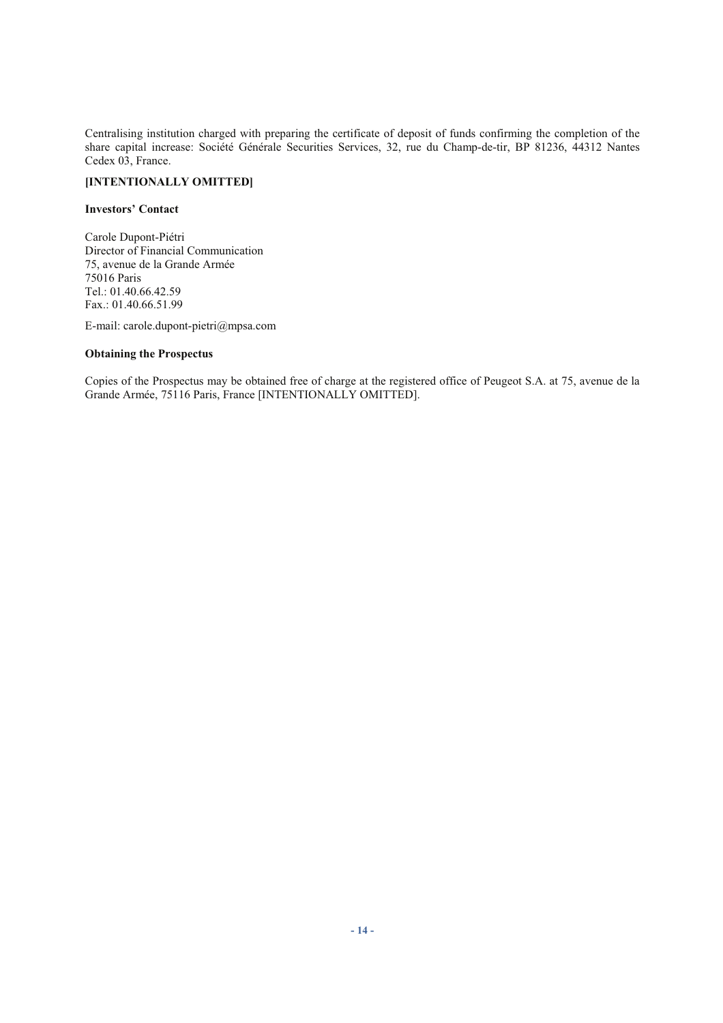Centralising institution charged with preparing the certificate of deposit of funds confirming the completion of the share capital increase: Société Générale Securities Services, 32, rue du Champ-de-tir, BP 81236, 44312 Nantes Cedex 03, France.

# **[INTENTIONALLY OMITTED]**

# **Investors' Contact**

Carole Dupont-Piétri Director of Financial Communication 75, avenue de la Grande Armée 75016 Paris Tel.: 01.40.66.42.59 Fax.: 01.40.66.51.99

E-mail: carole.dupont-pietri@mpsa.com

## **Obtaining the Prospectus**

Copies of the Prospectus may be obtained free of charge at the registered office of Peugeot S.A. at 75, avenue de la Grande Armée, 75116 Paris, France [INTENTIONALLY OMITTED].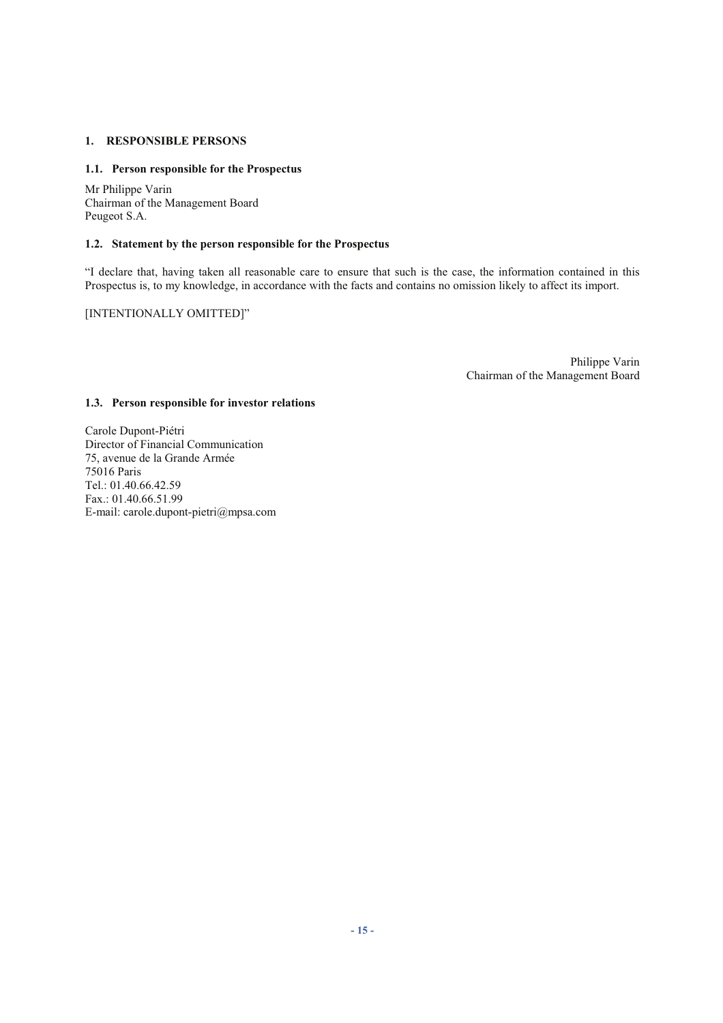# **1. RESPONSIBLE PERSONS**

# **1.1. Person responsible for the Prospectus**

Mr Philippe Varin Chairman of the Management Board Peugeot S.A.

# **1.2. Statement by the person responsible for the Prospectus**

"I declare that, having taken all reasonable care to ensure that such is the case, the information contained in this Prospectus is, to my knowledge, in accordance with the facts and contains no omission likely to affect its import.

# [INTENTIONALLY OMITTED]"

Philippe Varin Chairman of the Management Board

# **1.3. Person responsible for investor relations**

Carole Dupont-Piétri Director of Financial Communication 75, avenue de la Grande Armée 75016 Paris Tel.: 01.40.66.42.59 Fax.: 01.40.66.51.99 E-mail: carole.dupont-pietri@mpsa.com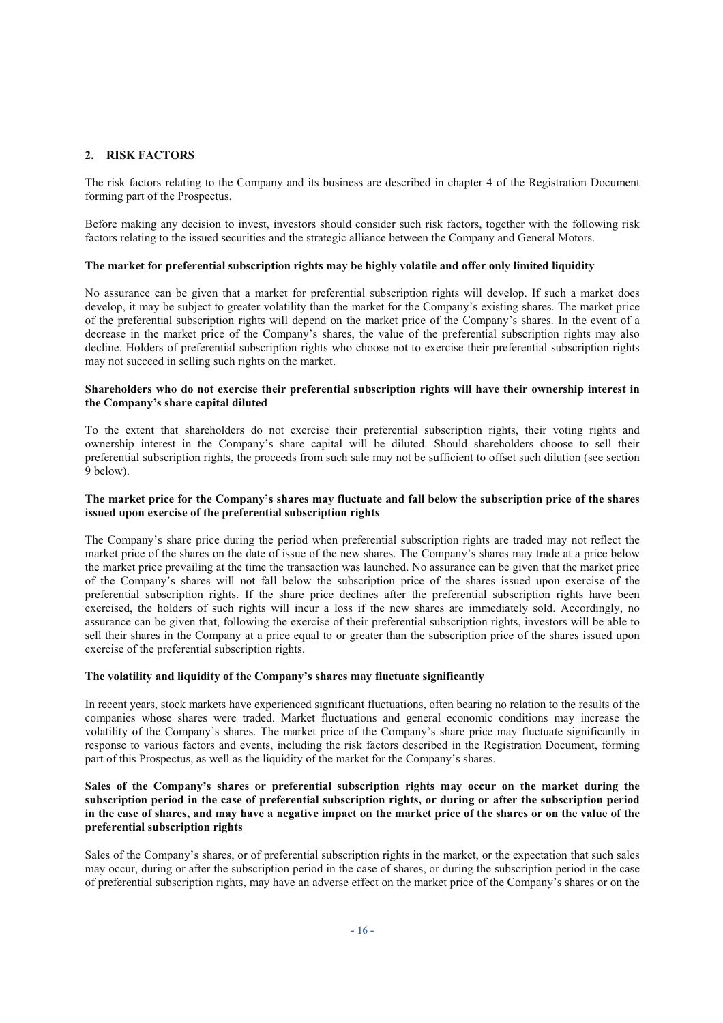# **2. RISK FACTORS**

The risk factors relating to the Company and its business are described in chapter 4 of the Registration Document forming part of the Prospectus.

Before making any decision to invest, investors should consider such risk factors, together with the following risk factors relating to the issued securities and the strategic alliance between the Company and General Motors.

#### **The market for preferential subscription rights may be highly volatile and offer only limited liquidity**

No assurance can be given that a market for preferential subscription rights will develop. If such a market does develop, it may be subject to greater volatility than the market for the Company's existing shares. The market price of the preferential subscription rights will depend on the market price of the Company's shares. In the event of a decrease in the market price of the Company's shares, the value of the preferential subscription rights may also decline. Holders of preferential subscription rights who choose not to exercise their preferential subscription rights may not succeed in selling such rights on the market.

#### **Shareholders who do not exercise their preferential subscription rights will have their ownership interest in the Company's share capital diluted**

To the extent that shareholders do not exercise their preferential subscription rights, their voting rights and ownership interest in the Company's share capital will be diluted. Should shareholders choose to sell their preferential subscription rights, the proceeds from such sale may not be sufficient to offset such dilution (see section 9 below).

#### **The market price for the Company's shares may fluctuate and fall below the subscription price of the shares issued upon exercise of the preferential subscription rights**

The Company's share price during the period when preferential subscription rights are traded may not reflect the market price of the shares on the date of issue of the new shares. The Company's shares may trade at a price below the market price prevailing at the time the transaction was launched. No assurance can be given that the market price of the Company's shares will not fall below the subscription price of the shares issued upon exercise of the preferential subscription rights. If the share price declines after the preferential subscription rights have been exercised, the holders of such rights will incur a loss if the new shares are immediately sold. Accordingly, no assurance can be given that, following the exercise of their preferential subscription rights, investors will be able to sell their shares in the Company at a price equal to or greater than the subscription price of the shares issued upon exercise of the preferential subscription rights.

# **The volatility and liquidity of the Company's shares may fluctuate significantly**

In recent years, stock markets have experienced significant fluctuations, often bearing no relation to the results of the companies whose shares were traded. Market fluctuations and general economic conditions may increase the volatility of the Company's shares. The market price of the Company's share price may fluctuate significantly in response to various factors and events, including the risk factors described in the Registration Document, forming part of this Prospectus, as well as the liquidity of the market for the Company's shares.

#### **Sales of the Company's shares or preferential subscription rights may occur on the market during the subscription period in the case of preferential subscription rights, or during or after the subscription period in the case of shares, and may have a negative impact on the market price of the shares or on the value of the preferential subscription rights**

Sales of the Company's shares, or of preferential subscription rights in the market, or the expectation that such sales may occur, during or after the subscription period in the case of shares, or during the subscription period in the case of preferential subscription rights, may have an adverse effect on the market price of the Company's shares or on the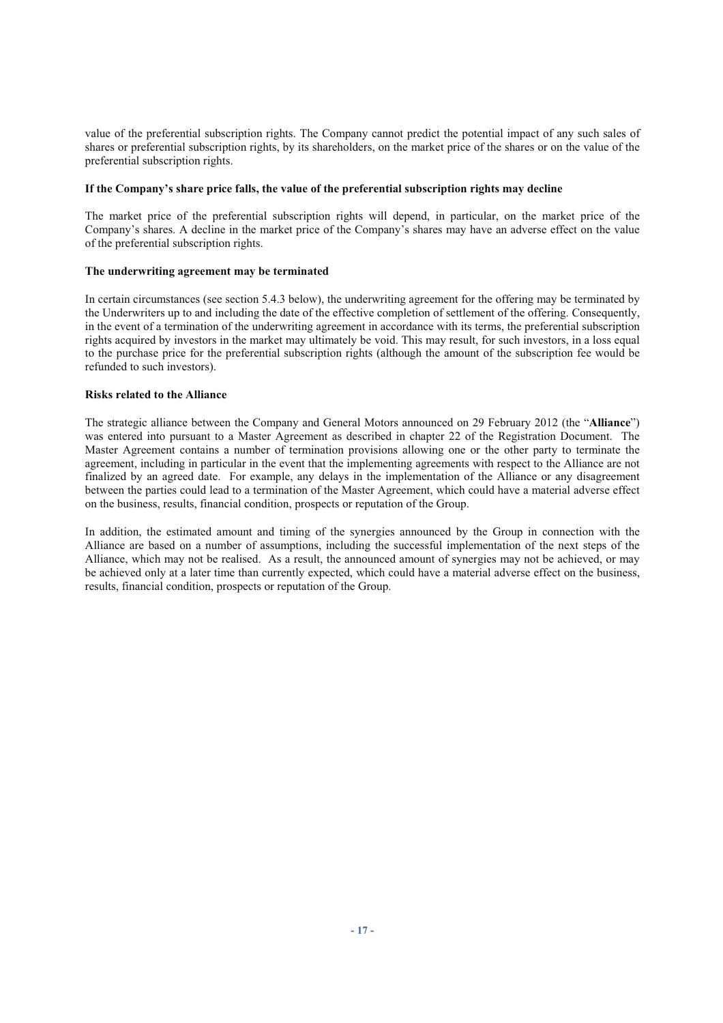value of the preferential subscription rights. The Company cannot predict the potential impact of any such sales of shares or preferential subscription rights, by its shareholders, on the market price of the shares or on the value of the preferential subscription rights.

#### **If the Company's share price falls, the value of the preferential subscription rights may decline**

The market price of the preferential subscription rights will depend, in particular, on the market price of the Company's shares. A decline in the market price of the Company's shares may have an adverse effect on the value of the preferential subscription rights.

# **The underwriting agreement may be terminated**

In certain circumstances (see section 5.4.3 below), the underwriting agreement for the offering may be terminated by the Underwriters up to and including the date of the effective completion of settlement of the offering. Consequently, in the event of a termination of the underwriting agreement in accordance with its terms, the preferential subscription rights acquired by investors in the market may ultimately be void. This may result, for such investors, in a loss equal to the purchase price for the preferential subscription rights (although the amount of the subscription fee would be refunded to such investors).

## **Risks related to the Alliance**

The strategic alliance between the Company and General Motors announced on 29 February 2012 (the "**Alliance**") was entered into pursuant to a Master Agreement as described in chapter 22 of the Registration Document. The Master Agreement contains a number of termination provisions allowing one or the other party to terminate the agreement, including in particular in the event that the implementing agreements with respect to the Alliance are not finalized by an agreed date. For example, any delays in the implementation of the Alliance or any disagreement between the parties could lead to a termination of the Master Agreement, which could have a material adverse effect on the business, results, financial condition, prospects or reputation of the Group.

In addition, the estimated amount and timing of the synergies announced by the Group in connection with the Alliance are based on a number of assumptions, including the successful implementation of the next steps of the Alliance, which may not be realised. As a result, the announced amount of synergies may not be achieved, or may be achieved only at a later time than currently expected, which could have a material adverse effect on the business, results, financial condition, prospects or reputation of the Group.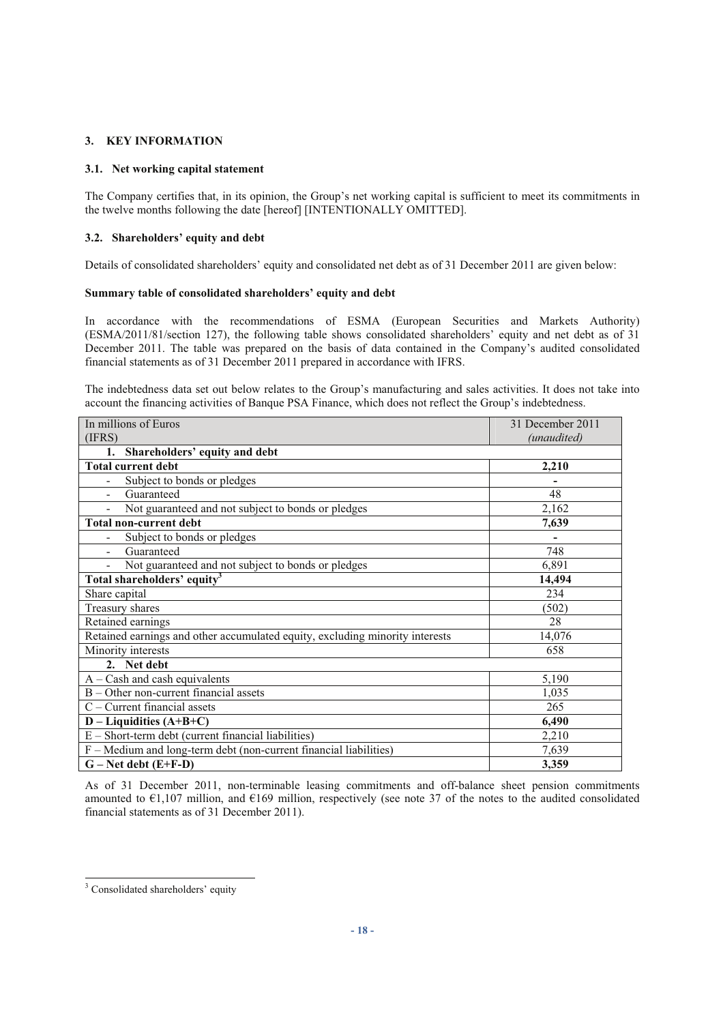# **3. KEY INFORMATION**

## **3.1. Net working capital statement**

The Company certifies that, in its opinion, the Group's net working capital is sufficient to meet its commitments in the twelve months following the date [hereof] [INTENTIONALLY OMITTED].

#### **3.2. Shareholders' equity and debt**

Details of consolidated shareholders' equity and consolidated net debt as of 31 December 2011 are given below:

#### **Summary table of consolidated shareholders' equity and debt**

In accordance with the recommendations of ESMA (European Securities and Markets Authority) (ESMA/2011/81/section 127), the following table shows consolidated shareholders' equity and net debt as of 31 December 2011. The table was prepared on the basis of data contained in the Company's audited consolidated financial statements as of 31 December 2011 prepared in accordance with IFRS.

The indebtedness data set out below relates to the Group's manufacturing and sales activities. It does not take into account the financing activities of Banque PSA Finance, which does not reflect the Group's indebtedness.

| In millions of Euros                                                         | 31 December 2011 |  |  |
|------------------------------------------------------------------------------|------------------|--|--|
| (IFRS)                                                                       | (unaudited)      |  |  |
| Shareholders' equity and debt<br>1.                                          |                  |  |  |
| <b>Total current debt</b>                                                    | 2,210            |  |  |
| Subject to bonds or pledges                                                  |                  |  |  |
| Guaranteed                                                                   | 48               |  |  |
| Not guaranteed and not subject to bonds or pledges                           | 2,162            |  |  |
| <b>Total non-current debt</b>                                                | 7,639            |  |  |
| Subject to bonds or pledges                                                  |                  |  |  |
| Guaranteed                                                                   | 748              |  |  |
| Not guaranteed and not subject to bonds or pledges                           | 6,891            |  |  |
| Total shareholders' equity <sup>3</sup>                                      | 14,494           |  |  |
| Share capital                                                                | 234              |  |  |
| Treasury shares                                                              | (502)            |  |  |
| Retained earnings                                                            | 28               |  |  |
| Retained earnings and other accumulated equity, excluding minority interests | 14,076           |  |  |
| Minority interests                                                           | 658              |  |  |
| 2. Net debt                                                                  |                  |  |  |
| $A - Cash$ and cash equivalents                                              | 5,190            |  |  |
| $B -$ Other non-current financial assets                                     | 1,035            |  |  |
| $C$ – Current financial assets                                               | 265              |  |  |
| $D - Liquidities (A+B+C)$                                                    | 6,490            |  |  |
| $E - Short-term debt$ (current financial liabilities)                        | 2,210            |  |  |
| $F - Medium$ and long-term debt (non-current financial liabilities)          | 7,639            |  |  |
| $G - Net debt (E+F-D)$                                                       | 3,359            |  |  |

As of 31 December 2011, non-terminable leasing commitments and off-balance sheet pension commitments amounted to €1,107 million, and €169 million, respectively (see note 37 of the notes to the audited consolidated financial statements as of 31 December 2011).

<sup>&</sup>lt;sup>3</sup> Consolidated shareholders' equity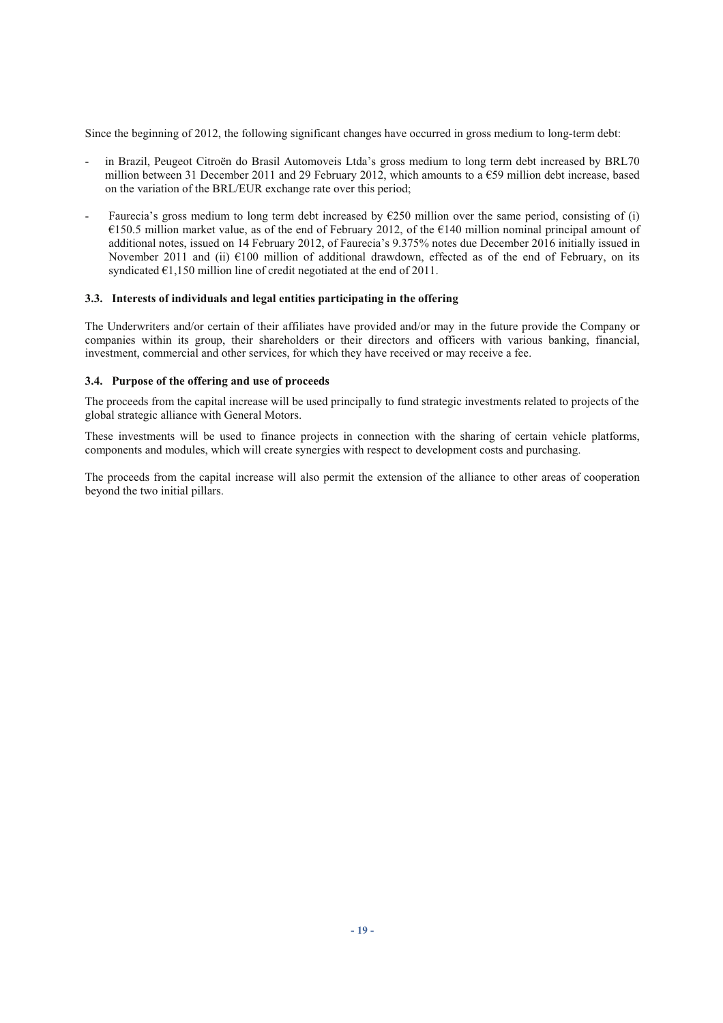Since the beginning of 2012, the following significant changes have occurred in gross medium to long-term debt:

- in Brazil, Peugeot Citroën do Brasil Automoveis Ltda's gross medium to long term debt increased by BRL70 million between 31 December 2011 and 29 February 2012, which amounts to a  $\epsilon$ 59 million debt increase, based on the variation of the BRL/EUR exchange rate over this period;
- Faurecia's gross medium to long term debt increased by  $E250$  million over the same period, consisting of (i) €150.5 million market value, as of the end of February 2012, of the €140 million nominal principal amount of additional notes, issued on 14 February 2012, of Faurecia's 9.375% notes due December 2016 initially issued in November 2011 and (ii) €100 million of additional drawdown, effected as of the end of February, on its syndicated  $\epsilon$ 1,150 million line of credit negotiated at the end of 2011.

# **3.3. Interests of individuals and legal entities participating in the offering**

The Underwriters and/or certain of their affiliates have provided and/or may in the future provide the Company or companies within its group, their shareholders or their directors and officers with various banking, financial, investment, commercial and other services, for which they have received or may receive a fee.

## **3.4. Purpose of the offering and use of proceeds**

The proceeds from the capital increase will be used principally to fund strategic investments related to projects of the global strategic alliance with General Motors.

These investments will be used to finance projects in connection with the sharing of certain vehicle platforms, components and modules, which will create synergies with respect to development costs and purchasing.

The proceeds from the capital increase will also permit the extension of the alliance to other areas of cooperation beyond the two initial pillars.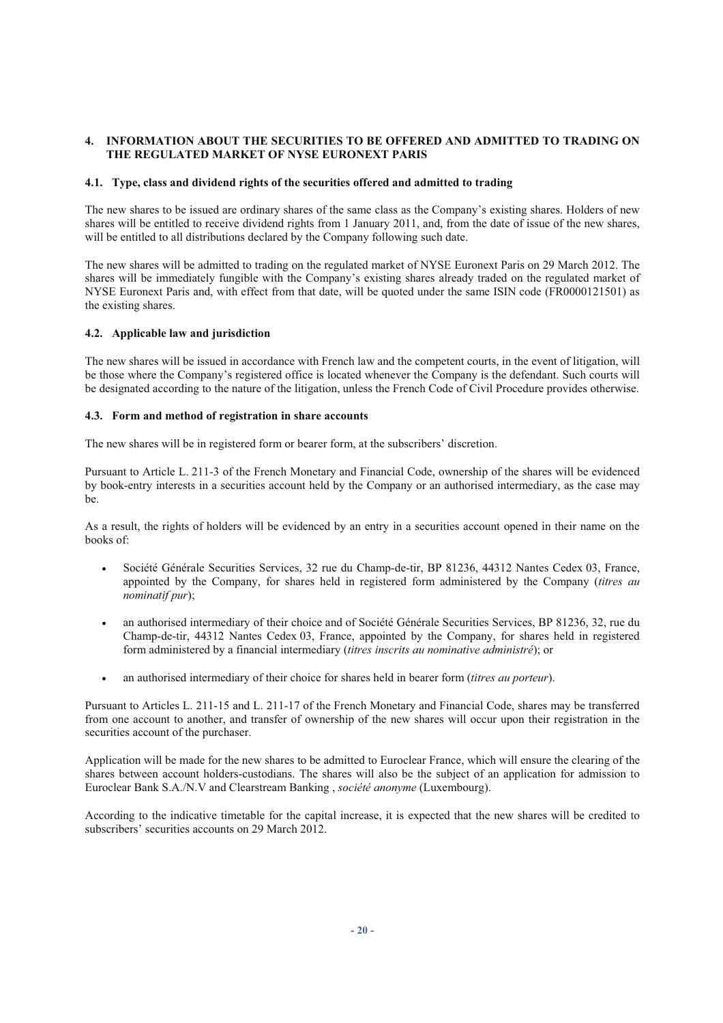# **4. INFORMATION ABOUT THE SECURITIES TO BE OFFERED AND ADMITTED TO TRADING ON THE REGULATED MARKET OF NYSE EURONEXT PARIS**

## **4.1. Type, class and dividend rights of the securities offered and admitted to trading**

The new shares to be issued are ordinary shares of the same class as the Company's existing shares. Holders of new shares will be entitled to receive dividend rights from 1 January 2011, and, from the date of issue of the new shares, will be entitled to all distributions declared by the Company following such date.

The new shares will be admitted to trading on the regulated market of NYSE Euronext Paris on 29 March 2012. The shares will be immediately fungible with the Company's existing shares already traded on the regulated market of NYSE Euronext Paris and, with effect from that date, will be quoted under the same ISIN code (FR0000121501) as the existing shares.

## **4.2. Applicable law and jurisdiction**

The new shares will be issued in accordance with French law and the competent courts, in the event of litigation, will be those where the Company's registered office is located whenever the Company is the defendant. Such courts will be designated according to the nature of the litigation, unless the French Code of Civil Procedure provides otherwise.

## **4.3. Form and method of registration in share accounts**

The new shares will be in registered form or bearer form, at the subscribers' discretion.

Pursuant to Article L. 211-3 of the French Monetary and Financial Code, ownership of the shares will be evidenced by book-entry interests in a securities account held by the Company or an authorised intermediary, as the case may be.

As a result, the rights of holders will be evidenced by an entry in a securities account opened in their name on the books of:

- Société Générale Securities Services, 32 rue du Champ-de-tir, BP 81236, 44312 Nantes Cedex 03, France, appointed by the Company, for shares held in registered form administered by the Company (*titres au nominatif pur*);
- an authorised intermediary of their choice and of Société Générale Securities Services, BP 81236, 32, rue du Champ-de-tir, 44312 Nantes Cedex 03, France, appointed by the Company, for shares held in registered form administered by a financial intermediary (*titres inscrits au nominative administré*); or
- an authorised intermediary of their choice for shares held in bearer form (*titres au porteur*).

Pursuant to Articles L. 211-15 and L. 211-17 of the French Monetary and Financial Code, shares may be transferred from one account to another, and transfer of ownership of the new shares will occur upon their registration in the securities account of the purchaser.

Application will be made for the new shares to be admitted to Euroclear France, which will ensure the clearing of the shares between account holders-custodians. The shares will also be the subject of an application for admission to Euroclear Bank S.A./N.V and Clearstream Banking , *société anonyme* (Luxembourg).

According to the indicative timetable for the capital increase, it is expected that the new shares will be credited to subscribers' securities accounts on 29 March 2012.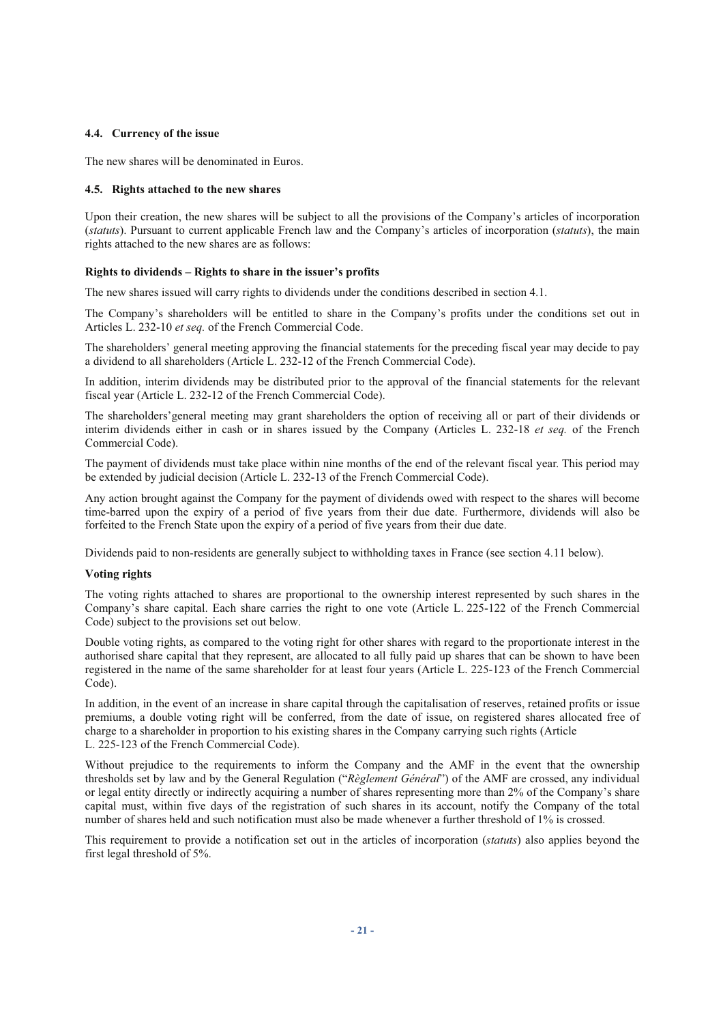#### **4.4. Currency of the issue**

The new shares will be denominated in Euros.

#### **4.5. Rights attached to the new shares**

Upon their creation, the new shares will be subject to all the provisions of the Company's articles of incorporation (*statuts*). Pursuant to current applicable French law and the Company's articles of incorporation (*statuts*), the main rights attached to the new shares are as follows:

#### **Rights to dividends – Rights to share in the issuer's profits**

The new shares issued will carry rights to dividends under the conditions described in section 4.1.

The Company's shareholders will be entitled to share in the Company's profits under the conditions set out in Articles L. 232-10 *et seq.* of the French Commercial Code.

The shareholders' general meeting approving the financial statements for the preceding fiscal year may decide to pay a dividend to all shareholders (Article L. 232-12 of the French Commercial Code).

In addition, interim dividends may be distributed prior to the approval of the financial statements for the relevant fiscal year (Article L. 232-12 of the French Commercial Code).

The shareholders'general meeting may grant shareholders the option of receiving all or part of their dividends or interim dividends either in cash or in shares issued by the Company (Articles L. 232-18 *et seq.* of the French Commercial Code).

The payment of dividends must take place within nine months of the end of the relevant fiscal year. This period may be extended by judicial decision (Article L. 232-13 of the French Commercial Code).

Any action brought against the Company for the payment of dividends owed with respect to the shares will become time-barred upon the expiry of a period of five years from their due date. Furthermore, dividends will also be forfeited to the French State upon the expiry of a period of five years from their due date.

Dividends paid to non-residents are generally subject to withholding taxes in France (see section 4.11 below).

## **Voting rights**

The voting rights attached to shares are proportional to the ownership interest represented by such shares in the Company's share capital. Each share carries the right to one vote (Article L. 225-122 of the French Commercial Code) subject to the provisions set out below.

Double voting rights, as compared to the voting right for other shares with regard to the proportionate interest in the authorised share capital that they represent, are allocated to all fully paid up shares that can be shown to have been registered in the name of the same shareholder for at least four years (Article L. 225-123 of the French Commercial Code).

In addition, in the event of an increase in share capital through the capitalisation of reserves, retained profits or issue premiums, a double voting right will be conferred, from the date of issue, on registered shares allocated free of charge to a shareholder in proportion to his existing shares in the Company carrying such rights (Article L. 225-123 of the French Commercial Code).

Without prejudice to the requirements to inform the Company and the AMF in the event that the ownership thresholds set by law and by the General Regulation ("*Règlement Général*") of the AMF are crossed, any individual or legal entity directly or indirectly acquiring a number of shares representing more than 2% of the Company's share capital must, within five days of the registration of such shares in its account, notify the Company of the total number of shares held and such notification must also be made whenever a further threshold of 1% is crossed.

This requirement to provide a notification set out in the articles of incorporation (*statuts*) also applies beyond the first legal threshold of 5%.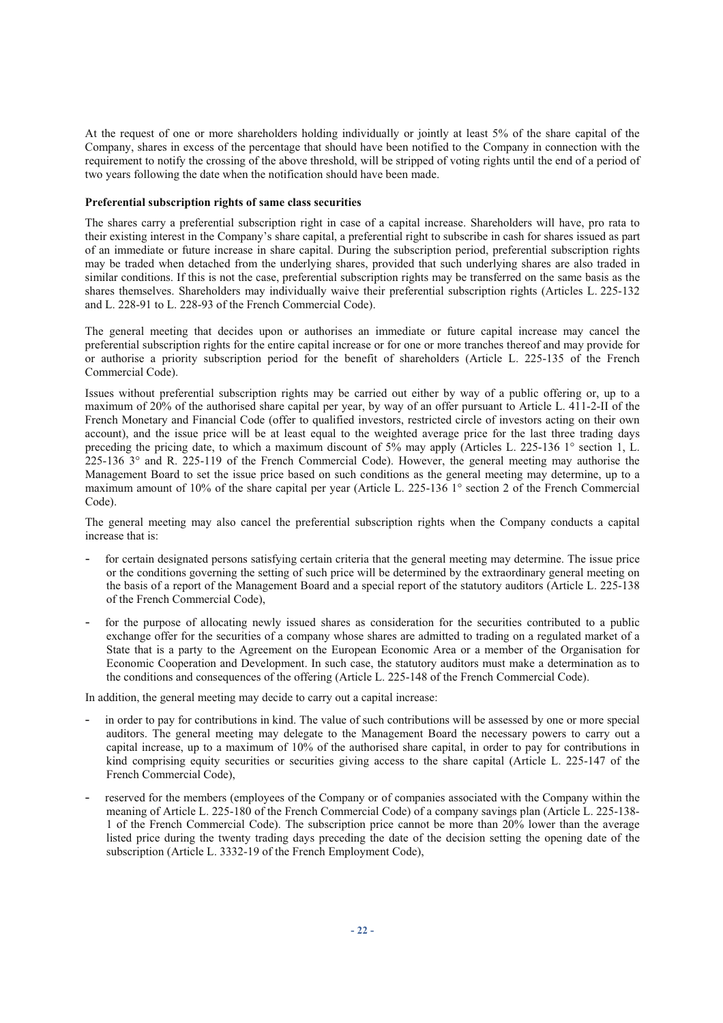At the request of one or more shareholders holding individually or jointly at least 5% of the share capital of the Company, shares in excess of the percentage that should have been notified to the Company in connection with the requirement to notify the crossing of the above threshold, will be stripped of voting rights until the end of a period of two years following the date when the notification should have been made.

#### **Preferential subscription rights of same class securities**

The shares carry a preferential subscription right in case of a capital increase. Shareholders will have, pro rata to their existing interest in the Company's share capital, a preferential right to subscribe in cash for shares issued as part of an immediate or future increase in share capital. During the subscription period, preferential subscription rights may be traded when detached from the underlying shares, provided that such underlying shares are also traded in similar conditions. If this is not the case, preferential subscription rights may be transferred on the same basis as the shares themselves. Shareholders may individually waive their preferential subscription rights (Articles L. 225-132 and L. 228-91 to L. 228-93 of the French Commercial Code).

The general meeting that decides upon or authorises an immediate or future capital increase may cancel the preferential subscription rights for the entire capital increase or for one or more tranches thereof and may provide for or authorise a priority subscription period for the benefit of shareholders (Article L. 225-135 of the French Commercial Code).

Issues without preferential subscription rights may be carried out either by way of a public offering or, up to a maximum of 20% of the authorised share capital per year, by way of an offer pursuant to Article L. 411-2-II of the French Monetary and Financial Code (offer to qualified investors, restricted circle of investors acting on their own account), and the issue price will be at least equal to the weighted average price for the last three trading days preceding the pricing date, to which a maximum discount of 5% may apply (Articles L. 225-136 1° section 1, L. 225-136 3° and R. 225-119 of the French Commercial Code). However, the general meeting may authorise the Management Board to set the issue price based on such conditions as the general meeting may determine, up to a maximum amount of 10% of the share capital per year (Article L. 225-136 1° section 2 of the French Commercial Code).

The general meeting may also cancel the preferential subscription rights when the Company conducts a capital increase that is:

- for certain designated persons satisfying certain criteria that the general meeting may determine. The issue price or the conditions governing the setting of such price will be determined by the extraordinary general meeting on the basis of a report of the Management Board and a special report of the statutory auditors (Article L. 225-138 of the French Commercial Code),
- for the purpose of allocating newly issued shares as consideration for the securities contributed to a public exchange offer for the securities of a company whose shares are admitted to trading on a regulated market of a State that is a party to the Agreement on the European Economic Area or a member of the Organisation for Economic Cooperation and Development. In such case, the statutory auditors must make a determination as to the conditions and consequences of the offering (Article L. 225-148 of the French Commercial Code).

In addition, the general meeting may decide to carry out a capital increase:

- in order to pay for contributions in kind. The value of such contributions will be assessed by one or more special auditors. The general meeting may delegate to the Management Board the necessary powers to carry out a capital increase, up to a maximum of 10% of the authorised share capital, in order to pay for contributions in kind comprising equity securities or securities giving access to the share capital (Article L. 225-147 of the French Commercial Code),
- reserved for the members (employees of the Company or of companies associated with the Company within the meaning of Article L. 225-180 of the French Commercial Code) of a company savings plan (Article L. 225-138- 1 of the French Commercial Code). The subscription price cannot be more than 20% lower than the average listed price during the twenty trading days preceding the date of the decision setting the opening date of the subscription (Article L. 3332-19 of the French Employment Code),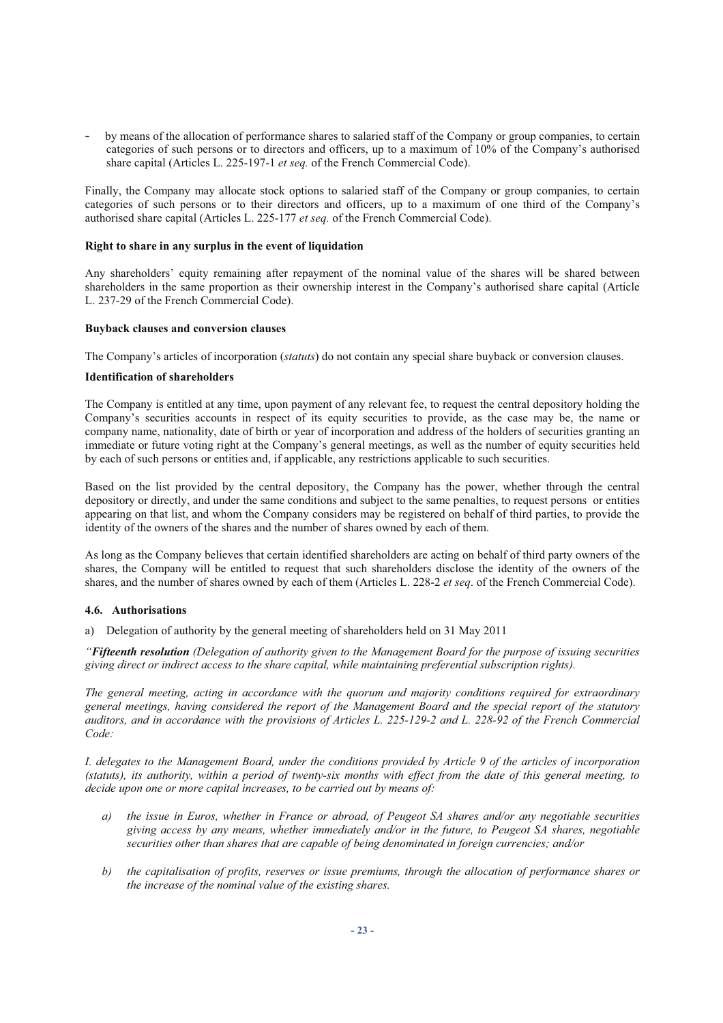by means of the allocation of performance shares to salaried staff of the Company or group companies, to certain categories of such persons or to directors and officers, up to a maximum of 10% of the Company's authorised share capital (Articles L. 225-197-1 *et seq.* of the French Commercial Code).

Finally, the Company may allocate stock options to salaried staff of the Company or group companies, to certain categories of such persons or to their directors and officers, up to a maximum of one third of the Company's authorised share capital (Articles L. 225-177 *et seq.* of the French Commercial Code).

#### **Right to share in any surplus in the event of liquidation**

Any shareholders' equity remaining after repayment of the nominal value of the shares will be shared between shareholders in the same proportion as their ownership interest in the Company's authorised share capital (Article L. 237-29 of the French Commercial Code).

#### **Buyback clauses and conversion clauses**

The Company's articles of incorporation (*statuts*) do not contain any special share buyback or conversion clauses.

## **Identification of shareholders**

The Company is entitled at any time, upon payment of any relevant fee, to request the central depository holding the Company's securities accounts in respect of its equity securities to provide, as the case may be, the name or company name, nationality, date of birth or year of incorporation and address of the holders of securities granting an immediate or future voting right at the Company's general meetings, as well as the number of equity securities held by each of such persons or entities and, if applicable, any restrictions applicable to such securities.

Based on the list provided by the central depository, the Company has the power, whether through the central depository or directly, and under the same conditions and subject to the same penalties, to request persons or entities appearing on that list, and whom the Company considers may be registered on behalf of third parties, to provide the identity of the owners of the shares and the number of shares owned by each of them.

As long as the Company believes that certain identified shareholders are acting on behalf of third party owners of the shares, the Company will be entitled to request that such shareholders disclose the identity of the owners of the shares, and the number of shares owned by each of them (Articles L. 228-2 *et seq*. of the French Commercial Code).

#### **4.6. Authorisations**

a) Delegation of authority by the general meeting of shareholders held on 31 May 2011

*"Fifteenth resolution (Delegation of authority given to the Management Board for the purpose of issuing securities giving direct or indirect access to the share capital, while maintaining preferential subscription rights).*

*The general meeting, acting in accordance with the quorum and majority conditions required for extraordinary general meetings, having considered the report of the Management Board and the special report of the statutory auditors, and in accordance with the provisions of Articles L. 225-129-2 and L. 228-92 of the French Commercial Code:* 

*I. delegates to the Management Board, under the conditions provided by Article 9 of the articles of incorporation (statuts), its authority, within a period of twenty-six months with effect from the date of this general meeting, to decide upon one or more capital increases, to be carried out by means of:* 

- *a) the issue in Euros, whether in France or abroad, of Peugeot SA shares and/or any negotiable securities giving access by any means, whether immediately and/or in the future, to Peugeot SA shares, negotiable securities other than shares that are capable of being denominated in foreign currencies; and/or*
- *b) the capitalisation of profits, reserves or issue premiums, through the allocation of performance shares or the increase of the nominal value of the existing shares.*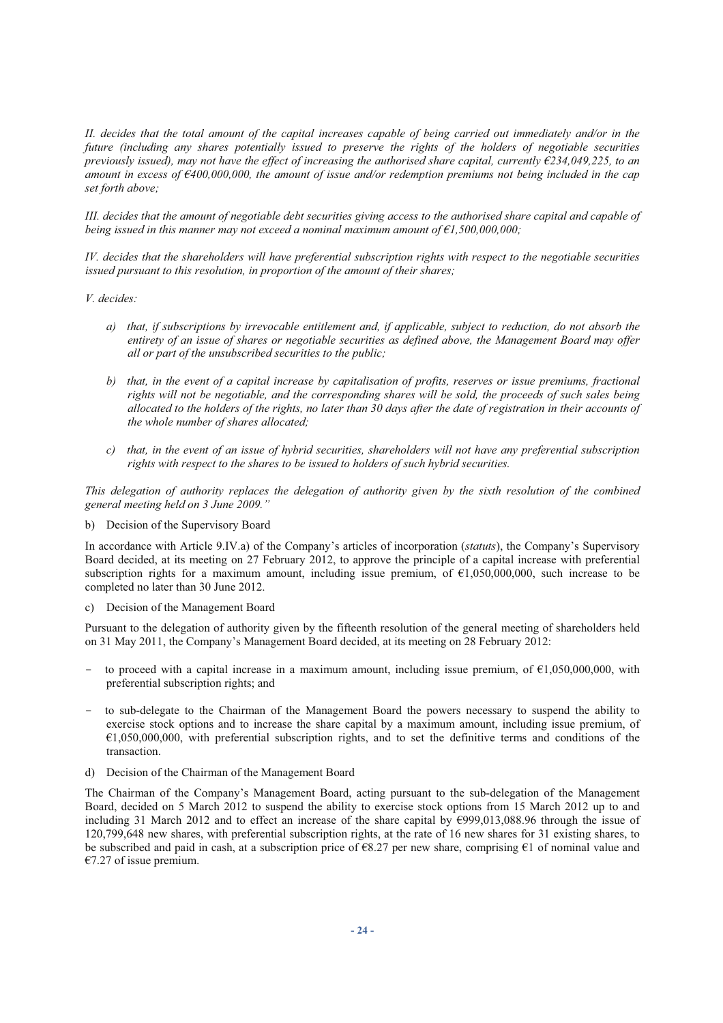*II. decides that the total amount of the capital increases capable of being carried out immediately and/or in the future (including any shares potentially issued to preserve the rights of the holders of negotiable securities previously issued), may not have the effect of increasing the authorised share capital, currently €234,049,225, to an amount in excess of €400,000,000, the amount of issue and/or redemption premiums not being included in the cap set forth above;* 

*III. decides that the amount of negotiable debt securities giving access to the authorised share capital and capable of being issued in this manner may not exceed a nominal maximum amount of €1,500,000,000;* 

*IV. decides that the shareholders will have preferential subscription rights with respect to the negotiable securities issued pursuant to this resolution, in proportion of the amount of their shares;* 

*V. decides:* 

- *a) that, if subscriptions by irrevocable entitlement and, if applicable, subject to reduction, do not absorb the entirety of an issue of shares or negotiable securities as defined above, the Management Board may offer all or part of the unsubscribed securities to the public;*
- *b) that, in the event of a capital increase by capitalisation of profits, reserves or issue premiums, fractional rights will not be negotiable, and the corresponding shares will be sold, the proceeds of such sales being allocated to the holders of the rights, no later than 30 days after the date of registration in their accounts of the whole number of shares allocated;*
- *c) that, in the event of an issue of hybrid securities, shareholders will not have any preferential subscription rights with respect to the shares to be issued to holders of such hybrid securities.*

*This delegation of authority replaces the delegation of authority given by the sixth resolution of the combined general meeting held on 3 June 2009."* 

b) Decision of the Supervisory Board

In accordance with Article 9.IV.a) of the Company's articles of incorporation (*statuts*), the Company's Supervisory Board decided, at its meeting on 27 February 2012, to approve the principle of a capital increase with preferential subscription rights for a maximum amount, including issue premium, of  $\epsilon$ 1,050,000,000, such increase to be completed no later than 30 June 2012.

c) Decision of the Management Board

Pursuant to the delegation of authority given by the fifteenth resolution of the general meeting of shareholders held on 31 May 2011, the Company's Management Board decided, at its meeting on 28 February 2012:

- to proceed with a capital increase in a maximum amount, including issue premium, of  $\epsilon$ 1,050,000,000, with preferential subscription rights; and
- to sub-delegate to the Chairman of the Management Board the powers necessary to suspend the ability to exercise stock options and to increase the share capital by a maximum amount, including issue premium, of €1,050,000,000, with preferential subscription rights, and to set the definitive terms and conditions of the transaction.
- d) Decision of the Chairman of the Management Board

The Chairman of the Company's Management Board, acting pursuant to the sub-delegation of the Management Board, decided on 5 March 2012 to suspend the ability to exercise stock options from 15 March 2012 up to and including 31 March 2012 and to effect an increase of the share capital by €999,013,088.96 through the issue of 120,799,648 new shares, with preferential subscription rights, at the rate of 16 new shares for 31 existing shares, to be subscribed and paid in cash, at a subscription price of €8.27 per new share, comprising €1 of nominal value and  $€7.27$  of issue premium.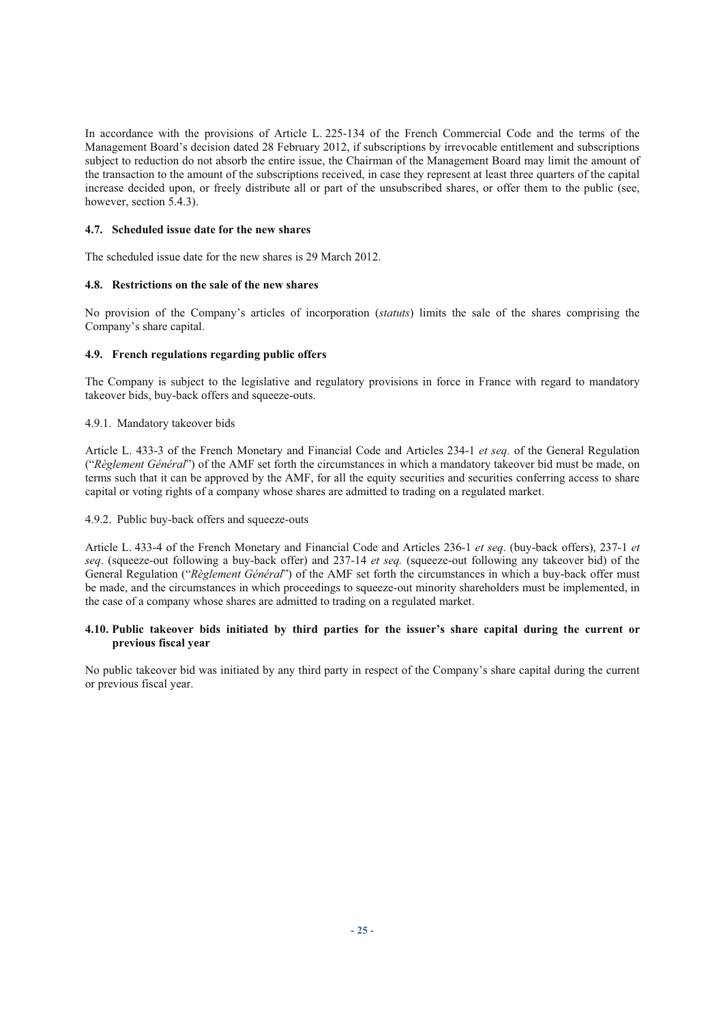In accordance with the provisions of Article L. 225-134 of the French Commercial Code and the terms of the Management Board's decision dated 28 February 2012, if subscriptions by irrevocable entitlement and subscriptions subject to reduction do not absorb the entire issue, the Chairman of the Management Board may limit the amount of the transaction to the amount of the subscriptions received, in case they represent at least three quarters of the capital increase decided upon, or freely distribute all or part of the unsubscribed shares, or offer them to the public (see, however, section 5.4.3).

# **4.7. Scheduled issue date for the new shares**

The scheduled issue date for the new shares is 29 March 2012.

# **4.8. Restrictions on the sale of the new shares**

No provision of the Company's articles of incorporation (*statuts*) limits the sale of the shares comprising the Company's share capital.

# **4.9. French regulations regarding public offers**

The Company is subject to the legislative and regulatory provisions in force in France with regard to mandatory takeover bids, buy-back offers and squeeze-outs.

4.9.1. Mandatory takeover bids

Article L. 433-3 of the French Monetary and Financial Code and Articles 234-1 *et seq.* of the General Regulation ("*Règlement Général*") of the AMF set forth the circumstances in which a mandatory takeover bid must be made, on terms such that it can be approved by the AMF, for all the equity securities and securities conferring access to share capital or voting rights of a company whose shares are admitted to trading on a regulated market.

4.9.2. Public buy-back offers and squeeze-outs

Article L. 433-4 of the French Monetary and Financial Code and Articles 236-1 *et seq*. (buy-back offers), 237-1 *et seq*. (squeeze-out following a buy-back offer) and 237-14 *et seq.* (squeeze-out following any takeover bid) of the General Regulation ("*Règlement Général*") of the AMF set forth the circumstances in which a buy-back offer must be made, and the circumstances in which proceedings to squeeze-out minority shareholders must be implemented, in the case of a company whose shares are admitted to trading on a regulated market.

## **4.10. Public takeover bids initiated by third parties for the issuer's share capital during the current or previous fiscal year**

No public takeover bid was initiated by any third party in respect of the Company's share capital during the current or previous fiscal year.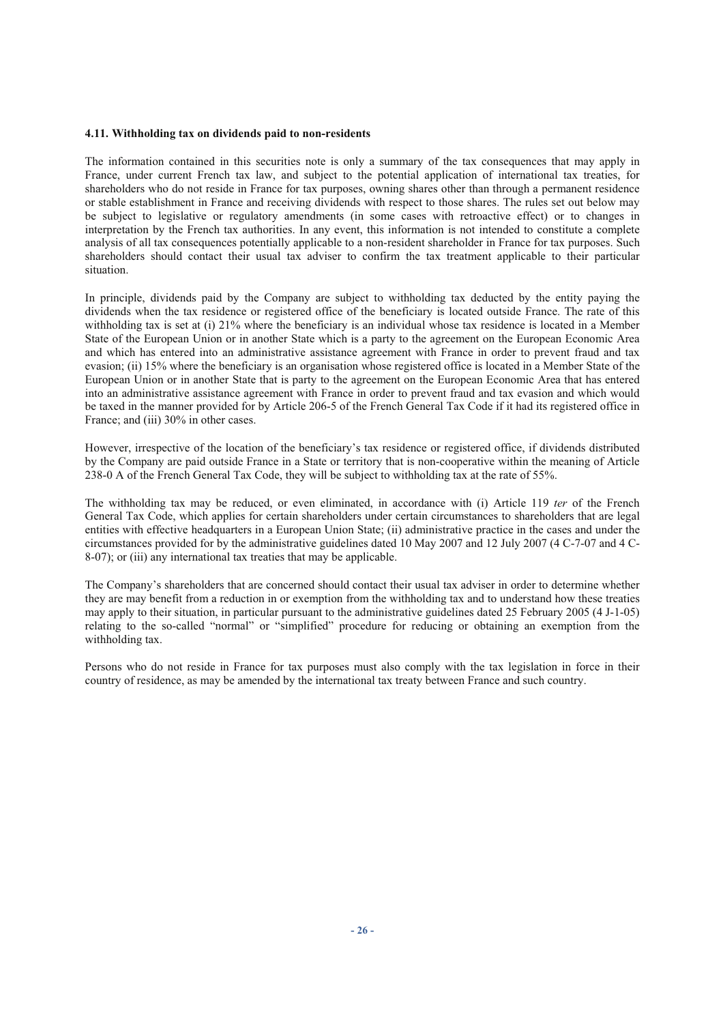#### **4.11. Withholding tax on dividends paid to non-residents**

The information contained in this securities note is only a summary of the tax consequences that may apply in France, under current French tax law, and subject to the potential application of international tax treaties, for shareholders who do not reside in France for tax purposes, owning shares other than through a permanent residence or stable establishment in France and receiving dividends with respect to those shares. The rules set out below may be subject to legislative or regulatory amendments (in some cases with retroactive effect) or to changes in interpretation by the French tax authorities. In any event, this information is not intended to constitute a complete analysis of all tax consequences potentially applicable to a non-resident shareholder in France for tax purposes. Such shareholders should contact their usual tax adviser to confirm the tax treatment applicable to their particular situation.

In principle, dividends paid by the Company are subject to withholding tax deducted by the entity paying the dividends when the tax residence or registered office of the beneficiary is located outside France. The rate of this withholding tax is set at (i) 21% where the beneficiary is an individual whose tax residence is located in a Member State of the European Union or in another State which is a party to the agreement on the European Economic Area and which has entered into an administrative assistance agreement with France in order to prevent fraud and tax evasion; (ii) 15% where the beneficiary is an organisation whose registered office is located in a Member State of the European Union or in another State that is party to the agreement on the European Economic Area that has entered into an administrative assistance agreement with France in order to prevent fraud and tax evasion and which would be taxed in the manner provided for by Article 206-5 of the French General Tax Code if it had its registered office in France: and (iii) 30% in other cases.

However, irrespective of the location of the beneficiary's tax residence or registered office, if dividends distributed by the Company are paid outside France in a State or territory that is non-cooperative within the meaning of Article 238-0 A of the French General Tax Code, they will be subject to withholding tax at the rate of 55%.

The withholding tax may be reduced, or even eliminated, in accordance with (i) Article 119 *ter* of the French General Tax Code, which applies for certain shareholders under certain circumstances to shareholders that are legal entities with effective headquarters in a European Union State; (ii) administrative practice in the cases and under the circumstances provided for by the administrative guidelines dated 10 May 2007 and 12 July 2007 (4 C-7-07 and 4 C-8-07); or (iii) any international tax treaties that may be applicable.

The Company's shareholders that are concerned should contact their usual tax adviser in order to determine whether they are may benefit from a reduction in or exemption from the withholding tax and to understand how these treaties may apply to their situation, in particular pursuant to the administrative guidelines dated 25 February 2005 (4 J-1-05) relating to the so-called "normal" or "simplified" procedure for reducing or obtaining an exemption from the withholding tax.

Persons who do not reside in France for tax purposes must also comply with the tax legislation in force in their country of residence, as may be amended by the international tax treaty between France and such country.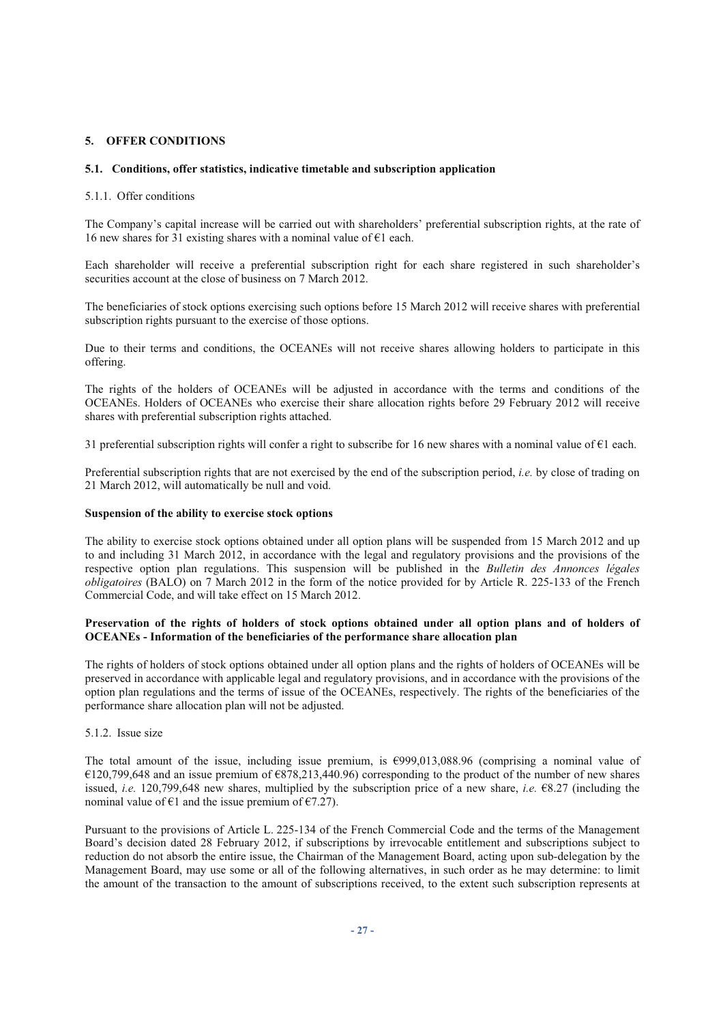# **5. OFFER CONDITIONS**

#### **5.1. Conditions, offer statistics, indicative timetable and subscription application**

#### 5.1.1. Offer conditions

The Company's capital increase will be carried out with shareholders' preferential subscription rights, at the rate of 16 new shares for  $31$  existing shares with a nominal value of  $61$  each.

Each shareholder will receive a preferential subscription right for each share registered in such shareholder's securities account at the close of business on 7 March 2012.

The beneficiaries of stock options exercising such options before 15 March 2012 will receive shares with preferential subscription rights pursuant to the exercise of those options.

Due to their terms and conditions, the OCEANEs will not receive shares allowing holders to participate in this offering.

The rights of the holders of OCEANEs will be adjusted in accordance with the terms and conditions of the OCEANEs. Holders of OCEANEs who exercise their share allocation rights before 29 February 2012 will receive shares with preferential subscription rights attached.

31 preferential subscription rights will confer a right to subscribe for 16 new shares with a nominal value of  $\epsilon$ 1 each.

Preferential subscription rights that are not exercised by the end of the subscription period, *i.e.* by close of trading on 21 March 2012, will automatically be null and void.

## **Suspension of the ability to exercise stock options**

The ability to exercise stock options obtained under all option plans will be suspended from 15 March 2012 and up to and including 31 March 2012, in accordance with the legal and regulatory provisions and the provisions of the respective option plan regulations. This suspension will be published in the *Bulletin des Annonces légales obligatoires* (BALO) on 7 March 2012 in the form of the notice provided for by Article R. 225-133 of the French Commercial Code, and will take effect on 15 March 2012.

## **Preservation of the rights of holders of stock options obtained under all option plans and of holders of OCEANEs - Information of the beneficiaries of the performance share allocation plan**

The rights of holders of stock options obtained under all option plans and the rights of holders of OCEANEs will be preserved in accordance with applicable legal and regulatory provisions, and in accordance with the provisions of the option plan regulations and the terms of issue of the OCEANEs, respectively. The rights of the beneficiaries of the performance share allocation plan will not be adjusted.

#### 5.1.2. Issue size

The total amount of the issue, including issue premium, is €999,013,088.96 (comprising a nominal value of €120,799,648 and an issue premium of €878,213,440.96) corresponding to the product of the number of new shares issued, *i.e.* 120,799,648 new shares, multiplied by the subscription price of a new share, *i.e.* €8.27 (including the nominal value of  $\epsilon$ 1 and the issue premium of  $\epsilon$ 7.27).

Pursuant to the provisions of Article L. 225-134 of the French Commercial Code and the terms of the Management Board's decision dated 28 February 2012, if subscriptions by irrevocable entitlement and subscriptions subject to reduction do not absorb the entire issue, the Chairman of the Management Board, acting upon sub-delegation by the Management Board, may use some or all of the following alternatives, in such order as he may determine: to limit the amount of the transaction to the amount of subscriptions received, to the extent such subscription represents at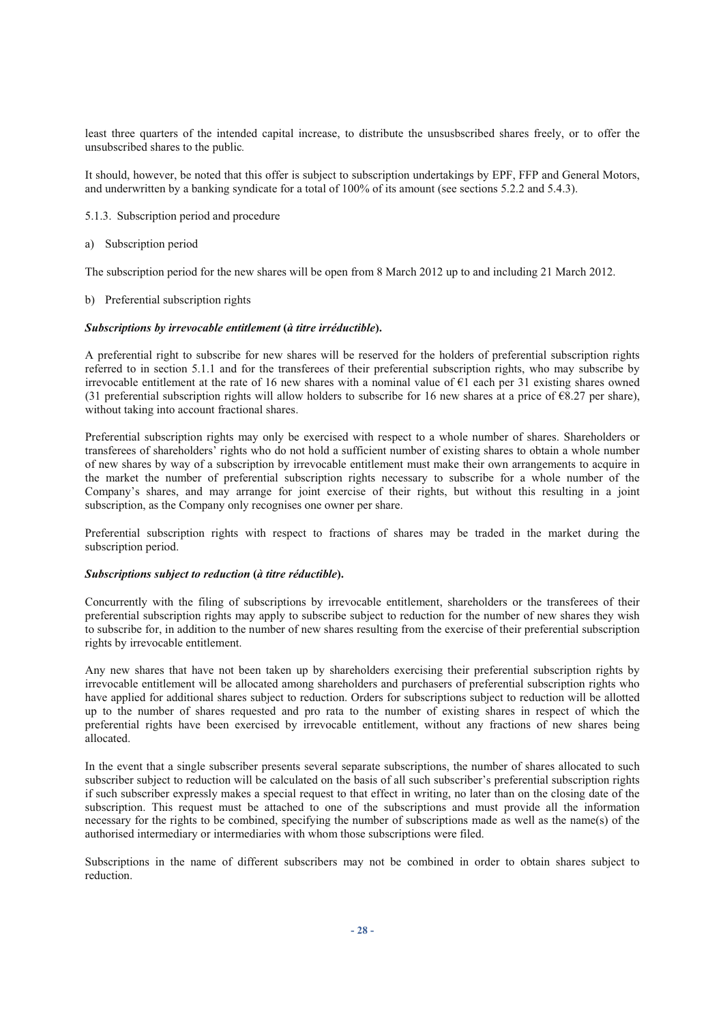least three quarters of the intended capital increase, to distribute the unsusbscribed shares freely, or to offer the unsubscribed shares to the public*.*

It should, however, be noted that this offer is subject to subscription undertakings by EPF, FFP and General Motors, and underwritten by a banking syndicate for a total of 100% of its amount (see sections 5.2.2 and 5.4.3).

- 5.1.3. Subscription period and procedure
- a) Subscription period

The subscription period for the new shares will be open from 8 March 2012 up to and including 21 March 2012.

b) Preferential subscription rights

#### *Subscriptions by irrevocable entitlement* **(***à titre irréductible***).**

A preferential right to subscribe for new shares will be reserved for the holders of preferential subscription rights referred to in section 5.1.1 and for the transferees of their preferential subscription rights, who may subscribe by irrevocable entitlement at the rate of 16 new shares with a nominal value of  $\epsilon$ 1 each per 31 existing shares owned (31 preferential subscription rights will allow holders to subscribe for 16 new shares at a price of  $\epsilon$ 8.27 per share), without taking into account fractional shares.

Preferential subscription rights may only be exercised with respect to a whole number of shares. Shareholders or transferees of shareholders' rights who do not hold a sufficient number of existing shares to obtain a whole number of new shares by way of a subscription by irrevocable entitlement must make their own arrangements to acquire in the market the number of preferential subscription rights necessary to subscribe for a whole number of the Company's shares, and may arrange for joint exercise of their rights, but without this resulting in a joint subscription, as the Company only recognises one owner per share.

Preferential subscription rights with respect to fractions of shares may be traded in the market during the subscription period.

#### *Subscriptions subject to reduction* **(***à titre réductible***).**

Concurrently with the filing of subscriptions by irrevocable entitlement, shareholders or the transferees of their preferential subscription rights may apply to subscribe subject to reduction for the number of new shares they wish to subscribe for, in addition to the number of new shares resulting from the exercise of their preferential subscription rights by irrevocable entitlement.

Any new shares that have not been taken up by shareholders exercising their preferential subscription rights by irrevocable entitlement will be allocated among shareholders and purchasers of preferential subscription rights who have applied for additional shares subject to reduction. Orders for subscriptions subject to reduction will be allotted up to the number of shares requested and pro rata to the number of existing shares in respect of which the preferential rights have been exercised by irrevocable entitlement, without any fractions of new shares being allocated.

In the event that a single subscriber presents several separate subscriptions, the number of shares allocated to such subscriber subject to reduction will be calculated on the basis of all such subscriber's preferential subscription rights if such subscriber expressly makes a special request to that effect in writing, no later than on the closing date of the subscription. This request must be attached to one of the subscriptions and must provide all the information necessary for the rights to be combined, specifying the number of subscriptions made as well as the name(s) of the authorised intermediary or intermediaries with whom those subscriptions were filed.

Subscriptions in the name of different subscribers may not be combined in order to obtain shares subject to reduction.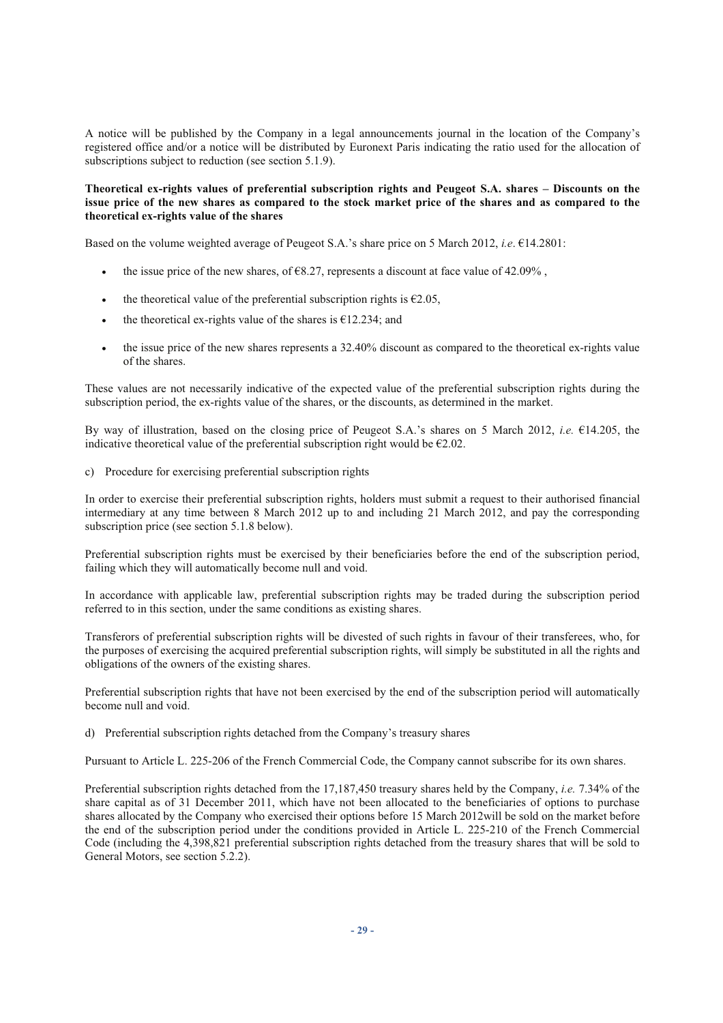A notice will be published by the Company in a legal announcements journal in the location of the Company's registered office and/or a notice will be distributed by Euronext Paris indicating the ratio used for the allocation of subscriptions subject to reduction (see section 5.1.9).

#### **Theoretical ex-rights values of preferential subscription rights and Peugeot S.A. shares – Discounts on the issue price of the new shares as compared to the stock market price of the shares and as compared to the theoretical ex-rights value of the shares**

Based on the volume weighted average of Peugeot S.A.'s share price on 5 March 2012, *i.e*. €14.2801:

- the issue price of the new shares, of  $\epsilon$ 8.27, represents a discount at face value of 42.09%,
- the theoretical value of the preferential subscription rights is  $E2.05$ ,
- the theoretical ex-rights value of the shares is  $\epsilon$ 12.234; and
- the issue price of the new shares represents a 32.40% discount as compared to the theoretical ex-rights value of the shares.

These values are not necessarily indicative of the expected value of the preferential subscription rights during the subscription period, the ex-rights value of the shares, or the discounts, as determined in the market.

By way of illustration, based on the closing price of Peugeot S.A.'s shares on 5 March 2012, *i.e.* €14.205, the indicative theoretical value of the preferential subscription right would be  $\epsilon$ 2.02.

c) Procedure for exercising preferential subscription rights

In order to exercise their preferential subscription rights, holders must submit a request to their authorised financial intermediary at any time between 8 March 2012 up to and including 21 March 2012, and pay the corresponding subscription price (see section 5.1.8 below).

Preferential subscription rights must be exercised by their beneficiaries before the end of the subscription period, failing which they will automatically become null and void.

In accordance with applicable law, preferential subscription rights may be traded during the subscription period referred to in this section, under the same conditions as existing shares.

Transferors of preferential subscription rights will be divested of such rights in favour of their transferees, who, for the purposes of exercising the acquired preferential subscription rights, will simply be substituted in all the rights and obligations of the owners of the existing shares.

Preferential subscription rights that have not been exercised by the end of the subscription period will automatically become null and void.

d) Preferential subscription rights detached from the Company's treasury shares

Pursuant to Article L. 225-206 of the French Commercial Code, the Company cannot subscribe for its own shares.

Preferential subscription rights detached from the 17,187,450 treasury shares held by the Company, *i.e.* 7.34% of the share capital as of 31 December 2011, which have not been allocated to the beneficiaries of options to purchase shares allocated by the Company who exercised their options before 15 March 2012will be sold on the market before the end of the subscription period under the conditions provided in Article L. 225-210 of the French Commercial Code (including the 4,398,821 preferential subscription rights detached from the treasury shares that will be sold to General Motors, see section 5.2.2).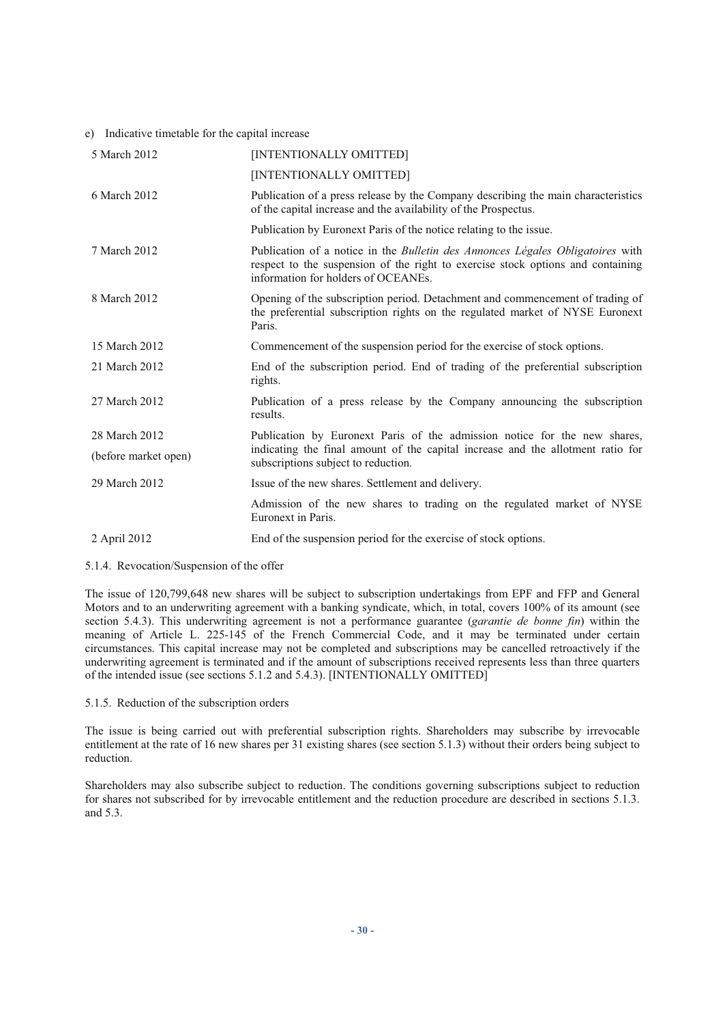#### e) Indicative timetable for the capital increase

| 5 March 2012         | [INTENTIONALLY OMITTED]                                                                                                                                                                                         |
|----------------------|-----------------------------------------------------------------------------------------------------------------------------------------------------------------------------------------------------------------|
|                      | [INTENTIONALLY OMITTED]                                                                                                                                                                                         |
| 6 March 2012         | Publication of a press release by the Company describing the main characteristics<br>of the capital increase and the availability of the Prospectus.                                                            |
|                      | Publication by Euronext Paris of the notice relating to the issue.                                                                                                                                              |
| 7 March 2012         | Publication of a notice in the <i>Bulletin des Annonces Légales Obligatoires</i> with<br>respect to the suspension of the right to exercise stock options and containing<br>information for holders of OCEANEs. |
| 8 March 2012         | Opening of the subscription period. Detachment and commencement of trading of<br>the preferential subscription rights on the regulated market of NYSE Euronext<br>Paris.                                        |
| 15 March 2012        | Commencement of the suspension period for the exercise of stock options.                                                                                                                                        |
| 21 March 2012        | End of the subscription period. End of trading of the preferential subscription<br>rights.                                                                                                                      |
| 27 March 2012        | Publication of a press release by the Company announcing the subscription<br>results.                                                                                                                           |
| 28 March 2012        | Publication by Euronext Paris of the admission notice for the new shares,                                                                                                                                       |
| (before market open) | indicating the final amount of the capital increase and the allotment ratio for<br>subscriptions subject to reduction.                                                                                          |
| 29 March 2012        | Issue of the new shares. Settlement and delivery.                                                                                                                                                               |
|                      | Admission of the new shares to trading on the regulated market of NYSE<br>Euronext in Paris.                                                                                                                    |
| 2 April 2012         | End of the suspension period for the exercise of stock options.                                                                                                                                                 |
|                      |                                                                                                                                                                                                                 |

# 5.1.4. Revocation/Suspension of the offer

The issue of 120,799,648 new shares will be subject to subscription undertakings from EPF and FFP and General Motors and to an underwriting agreement with a banking syndicate, which, in total, covers 100% of its amount (see section 5.4.3). This underwriting agreement is not a performance guarantee (*garantie de bonne fin*) within the meaning of Article L. 225-145 of the French Commercial Code, and it may be terminated under certain circumstances. This capital increase may not be completed and subscriptions may be cancelled retroactively if the underwriting agreement is terminated and if the amount of subscriptions received represents less than three quarters of the intended issue (see sections 5.1.2 and 5.4.3). [INTENTIONALLY OMITTED]

#### 5.1.5. Reduction of the subscription orders

The issue is being carried out with preferential subscription rights. Shareholders may subscribe by irrevocable entitlement at the rate of 16 new shares per 31 existing shares (see section 5.1.3) without their orders being subject to reduction.

Shareholders may also subscribe subject to reduction. The conditions governing subscriptions subject to reduction for shares not subscribed for by irrevocable entitlement and the reduction procedure are described in sections 5.1.3. and 5.3.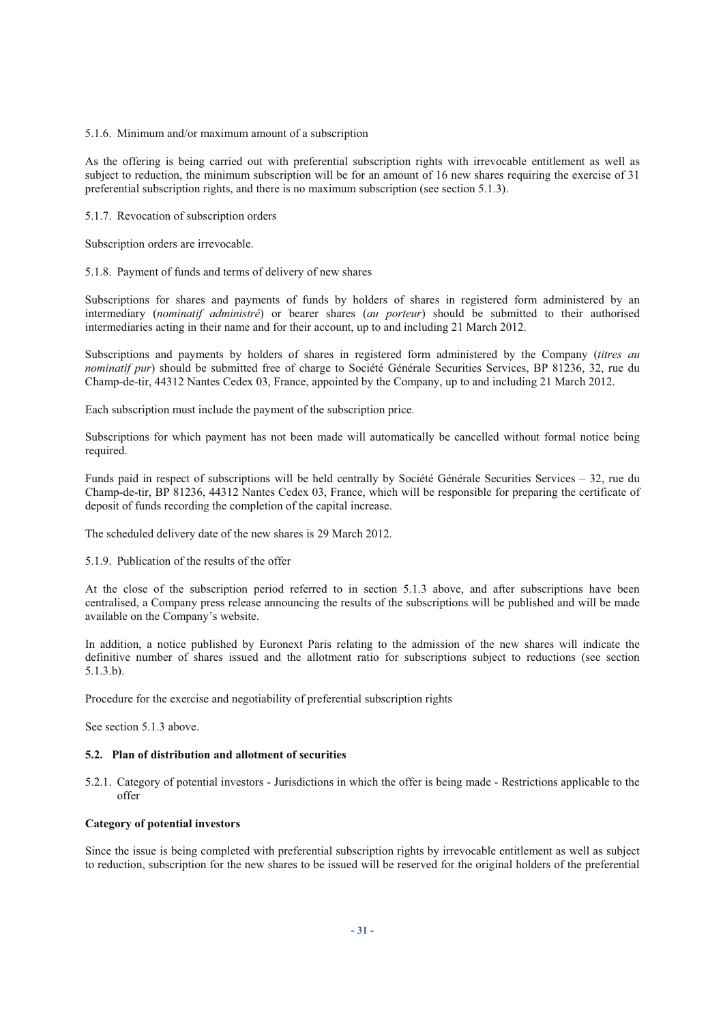#### 5.1.6. Minimum and/or maximum amount of a subscription

As the offering is being carried out with preferential subscription rights with irrevocable entitlement as well as subject to reduction, the minimum subscription will be for an amount of 16 new shares requiring the exercise of 31 preferential subscription rights, and there is no maximum subscription (see section 5.1.3).

#### 5.1.7. Revocation of subscription orders

Subscription orders are irrevocable.

#### 5.1.8. Payment of funds and terms of delivery of new shares

Subscriptions for shares and payments of funds by holders of shares in registered form administered by an intermediary (*nominatif administré*) or bearer shares (*au porteur*) should be submitted to their authorised intermediaries acting in their name and for their account, up to and including 21 March 2012.

Subscriptions and payments by holders of shares in registered form administered by the Company (*titres au nominatif pur*) should be submitted free of charge to Société Générale Securities Services, BP 81236, 32, rue du Champ-de-tir, 44312 Nantes Cedex 03, France, appointed by the Company, up to and including 21 March 2012.

Each subscription must include the payment of the subscription price.

Subscriptions for which payment has not been made will automatically be cancelled without formal notice being required.

Funds paid in respect of subscriptions will be held centrally by Société Générale Securities Services – 32, rue du Champ-de-tir, BP 81236, 44312 Nantes Cedex 03, France, which will be responsible for preparing the certificate of deposit of funds recording the completion of the capital increase.

The scheduled delivery date of the new shares is 29 March 2012.

#### 5.1.9. Publication of the results of the offer

At the close of the subscription period referred to in section 5.1.3 above, and after subscriptions have been centralised, a Company press release announcing the results of the subscriptions will be published and will be made available on the Company's website.

In addition, a notice published by Euronext Paris relating to the admission of the new shares will indicate the definitive number of shares issued and the allotment ratio for subscriptions subject to reductions (see section 5.1.3.b).

Procedure for the exercise and negotiability of preferential subscription rights

See section 5.1.3 above.

# **5.2. Plan of distribution and allotment of securities**

5.2.1. Category of potential investors - Jurisdictions in which the offer is being made - Restrictions applicable to the offer

#### **Category of potential investors**

Since the issue is being completed with preferential subscription rights by irrevocable entitlement as well as subject to reduction, subscription for the new shares to be issued will be reserved for the original holders of the preferential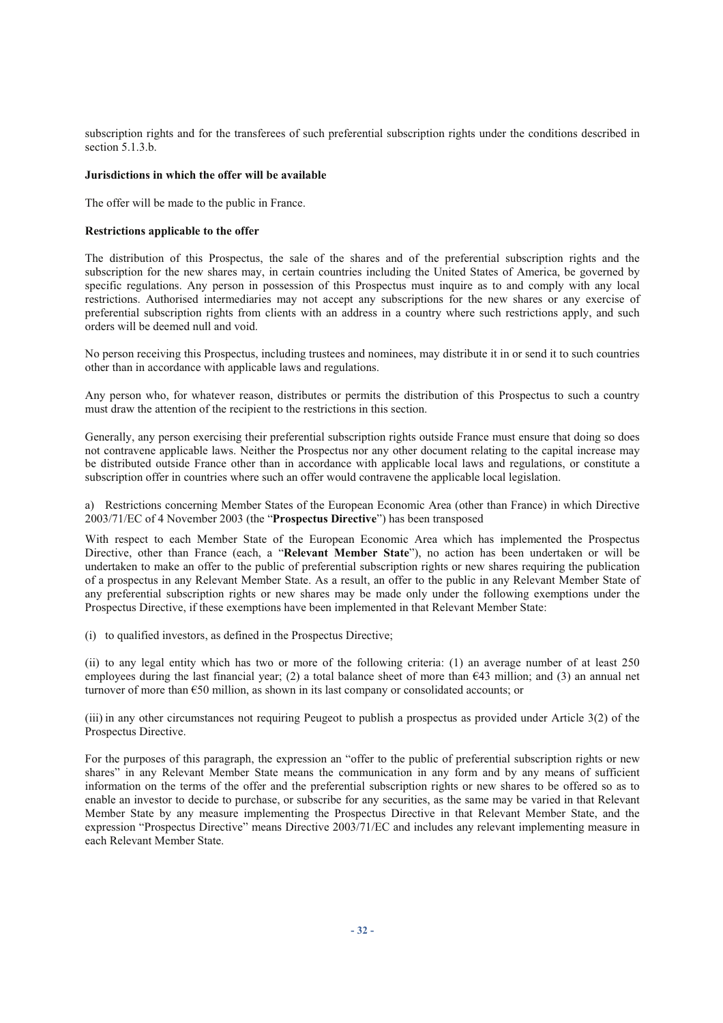subscription rights and for the transferees of such preferential subscription rights under the conditions described in section  $5.1.3.b.$ 

#### **Jurisdictions in which the offer will be available**

The offer will be made to the public in France.

#### **Restrictions applicable to the offer**

The distribution of this Prospectus, the sale of the shares and of the preferential subscription rights and the subscription for the new shares may, in certain countries including the United States of America, be governed by specific regulations. Any person in possession of this Prospectus must inquire as to and comply with any local restrictions. Authorised intermediaries may not accept any subscriptions for the new shares or any exercise of preferential subscription rights from clients with an address in a country where such restrictions apply, and such orders will be deemed null and void.

No person receiving this Prospectus, including trustees and nominees, may distribute it in or send it to such countries other than in accordance with applicable laws and regulations.

Any person who, for whatever reason, distributes or permits the distribution of this Prospectus to such a country must draw the attention of the recipient to the restrictions in this section.

Generally, any person exercising their preferential subscription rights outside France must ensure that doing so does not contravene applicable laws. Neither the Prospectus nor any other document relating to the capital increase may be distributed outside France other than in accordance with applicable local laws and regulations, or constitute a subscription offer in countries where such an offer would contravene the applicable local legislation.

a) Restrictions concerning Member States of the European Economic Area (other than France) in which Directive 2003/71/EC of 4 November 2003 (the "**Prospectus Directive**") has been transposed

With respect to each Member State of the European Economic Area which has implemented the Prospectus Directive, other than France (each, a "**Relevant Member State**"), no action has been undertaken or will be undertaken to make an offer to the public of preferential subscription rights or new shares requiring the publication of a prospectus in any Relevant Member State. As a result, an offer to the public in any Relevant Member State of any preferential subscription rights or new shares may be made only under the following exemptions under the Prospectus Directive, if these exemptions have been implemented in that Relevant Member State:

(i) to qualified investors, as defined in the Prospectus Directive;

(ii) to any legal entity which has two or more of the following criteria: (1) an average number of at least 250 employees during the last financial year; (2) a total balance sheet of more than  $643$  million; and (3) an annual net turnover of more than €50 million, as shown in its last company or consolidated accounts; or

(iii) in any other circumstances not requiring Peugeot to publish a prospectus as provided under Article 3(2) of the Prospectus Directive.

For the purposes of this paragraph, the expression an "offer to the public of preferential subscription rights or new shares" in any Relevant Member State means the communication in any form and by any means of sufficient information on the terms of the offer and the preferential subscription rights or new shares to be offered so as to enable an investor to decide to purchase, or subscribe for any securities, as the same may be varied in that Relevant Member State by any measure implementing the Prospectus Directive in that Relevant Member State, and the expression "Prospectus Directive" means Directive 2003/71/EC and includes any relevant implementing measure in each Relevant Member State.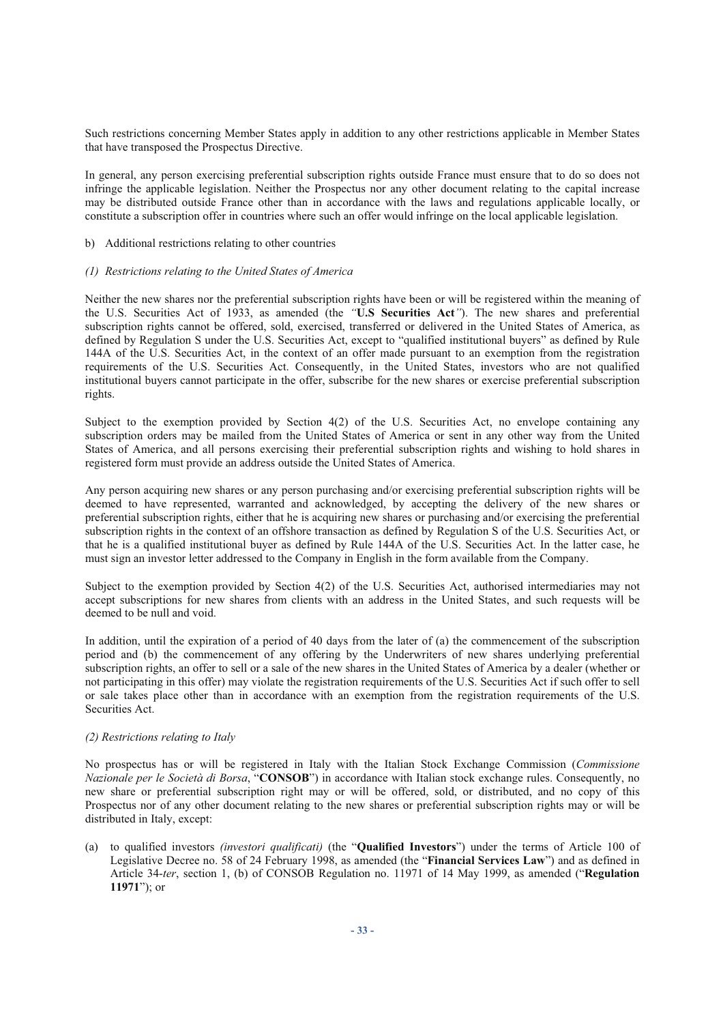Such restrictions concerning Member States apply in addition to any other restrictions applicable in Member States that have transposed the Prospectus Directive.

In general, any person exercising preferential subscription rights outside France must ensure that to do so does not infringe the applicable legislation. Neither the Prospectus nor any other document relating to the capital increase may be distributed outside France other than in accordance with the laws and regulations applicable locally, or constitute a subscription offer in countries where such an offer would infringe on the local applicable legislation.

#### b) Additional restrictions relating to other countries

#### *(1) Restrictions relating to the United States of America*

Neither the new shares nor the preferential subscription rights have been or will be registered within the meaning of the U.S. Securities Act of 1933, as amended (the *"***U.S Securities Act***"*). The new shares and preferential subscription rights cannot be offered, sold, exercised, transferred or delivered in the United States of America, as defined by Regulation S under the U.S. Securities Act, except to "qualified institutional buyers" as defined by Rule 144A of the U.S. Securities Act, in the context of an offer made pursuant to an exemption from the registration requirements of the U.S. Securities Act. Consequently, in the United States, investors who are not qualified institutional buyers cannot participate in the offer, subscribe for the new shares or exercise preferential subscription rights.

Subject to the exemption provided by Section 4(2) of the U.S. Securities Act, no envelope containing any subscription orders may be mailed from the United States of America or sent in any other way from the United States of America, and all persons exercising their preferential subscription rights and wishing to hold shares in registered form must provide an address outside the United States of America.

Any person acquiring new shares or any person purchasing and/or exercising preferential subscription rights will be deemed to have represented, warranted and acknowledged, by accepting the delivery of the new shares or preferential subscription rights, either that he is acquiring new shares or purchasing and/or exercising the preferential subscription rights in the context of an offshore transaction as defined by Regulation S of the U.S. Securities Act, or that he is a qualified institutional buyer as defined by Rule 144A of the U.S. Securities Act. In the latter case, he must sign an investor letter addressed to the Company in English in the form available from the Company.

Subject to the exemption provided by Section 4(2) of the U.S. Securities Act, authorised intermediaries may not accept subscriptions for new shares from clients with an address in the United States, and such requests will be deemed to be null and void.

In addition, until the expiration of a period of 40 days from the later of (a) the commencement of the subscription period and (b) the commencement of any offering by the Underwriters of new shares underlying preferential subscription rights, an offer to sell or a sale of the new shares in the United States of America by a dealer (whether or not participating in this offer) may violate the registration requirements of the U.S. Securities Act if such offer to sell or sale takes place other than in accordance with an exemption from the registration requirements of the U.S. Securities Act.

# *(2) Restrictions relating to Italy*

No prospectus has or will be registered in Italy with the Italian Stock Exchange Commission (*Commissione Nazionale per le Società di Borsa*, "**CONSOB**") in accordance with Italian stock exchange rules. Consequently, no new share or preferential subscription right may or will be offered, sold, or distributed, and no copy of this Prospectus nor of any other document relating to the new shares or preferential subscription rights may or will be distributed in Italy, except:

(a) to qualified investors *(investori qualificati)* (the "**Qualified Investors**") under the terms of Article 100 of Legislative Decree no. 58 of 24 February 1998, as amended (the "**Financial Services Law**") and as defined in Article 34-*ter*, section 1, (b) of CONSOB Regulation no. 11971 of 14 May 1999, as amended ("**Regulation 11971**"); or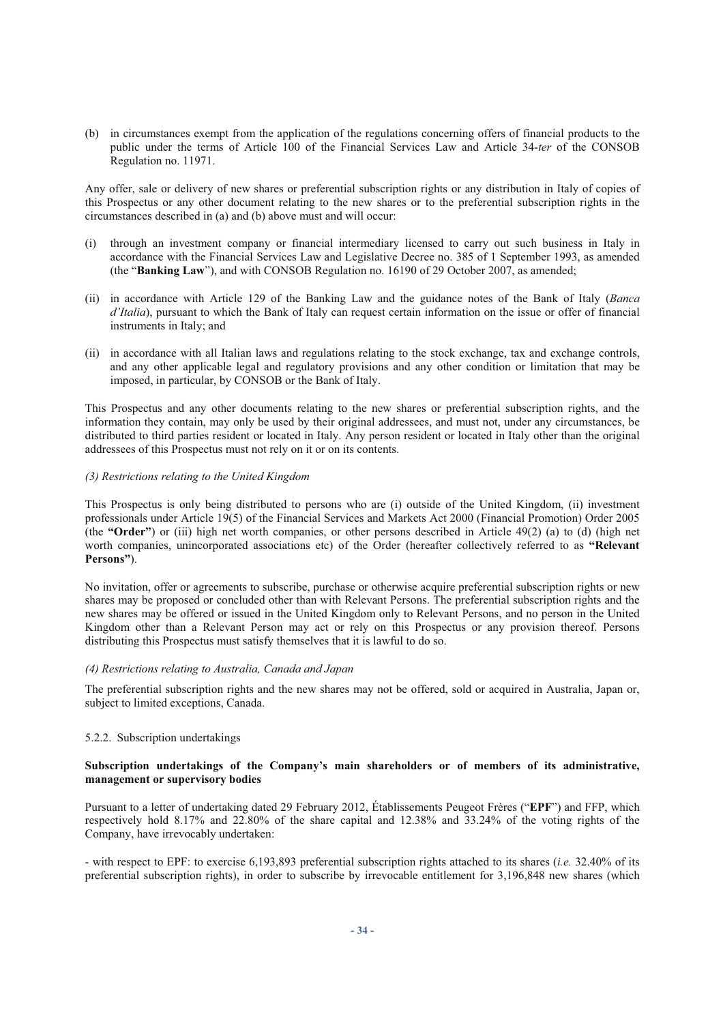(b) in circumstances exempt from the application of the regulations concerning offers of financial products to the public under the terms of Article 100 of the Financial Services Law and Article 34-*ter* of the CONSOB Regulation no. 11971.

Any offer, sale or delivery of new shares or preferential subscription rights or any distribution in Italy of copies of this Prospectus or any other document relating to the new shares or to the preferential subscription rights in the circumstances described in (a) and (b) above must and will occur:

- (i) through an investment company or financial intermediary licensed to carry out such business in Italy in accordance with the Financial Services Law and Legislative Decree no. 385 of 1 September 1993, as amended (the "**Banking Law**"), and with CONSOB Regulation no. 16190 of 29 October 2007, as amended;
- (ii) in accordance with Article 129 of the Banking Law and the guidance notes of the Bank of Italy (*Banca d'Italia*), pursuant to which the Bank of Italy can request certain information on the issue or offer of financial instruments in Italy; and
- (ii) in accordance with all Italian laws and regulations relating to the stock exchange, tax and exchange controls, and any other applicable legal and regulatory provisions and any other condition or limitation that may be imposed, in particular, by CONSOB or the Bank of Italy.

This Prospectus and any other documents relating to the new shares or preferential subscription rights, and the information they contain, may only be used by their original addressees, and must not, under any circumstances, be distributed to third parties resident or located in Italy. Any person resident or located in Italy other than the original addressees of this Prospectus must not rely on it or on its contents.

#### *(3) Restrictions relating to the United Kingdom*

This Prospectus is only being distributed to persons who are (i) outside of the United Kingdom, (ii) investment professionals under Article 19(5) of the Financial Services and Markets Act 2000 (Financial Promotion) Order 2005 (the **"Order"**) or (iii) high net worth companies, or other persons described in Article 49(2) (a) to (d) (high net worth companies, unincorporated associations etc) of the Order (hereafter collectively referred to as **"Relevant Persons"**).

No invitation, offer or agreements to subscribe, purchase or otherwise acquire preferential subscription rights or new shares may be proposed or concluded other than with Relevant Persons. The preferential subscription rights and the new shares may be offered or issued in the United Kingdom only to Relevant Persons, and no person in the United Kingdom other than a Relevant Person may act or rely on this Prospectus or any provision thereof. Persons distributing this Prospectus must satisfy themselves that it is lawful to do so.

#### *(4) Restrictions relating to Australia, Canada and Japan*

The preferential subscription rights and the new shares may not be offered, sold or acquired in Australia, Japan or, subject to limited exceptions, Canada.

# 5.2.2. Subscription undertakings

## **Subscription undertakings of the Company's main shareholders or of members of its administrative, management or supervisory bodies**

Pursuant to a letter of undertaking dated 29 February 2012, Établissements Peugeot Frères ("**EPF**") and FFP, which respectively hold 8.17% and 22.80% of the share capital and 12.38% and 33.24% of the voting rights of the Company, have irrevocably undertaken:

- with respect to EPF: to exercise 6,193,893 preferential subscription rights attached to its shares (*i.e.* 32.40% of its preferential subscription rights), in order to subscribe by irrevocable entitlement for 3,196,848 new shares (which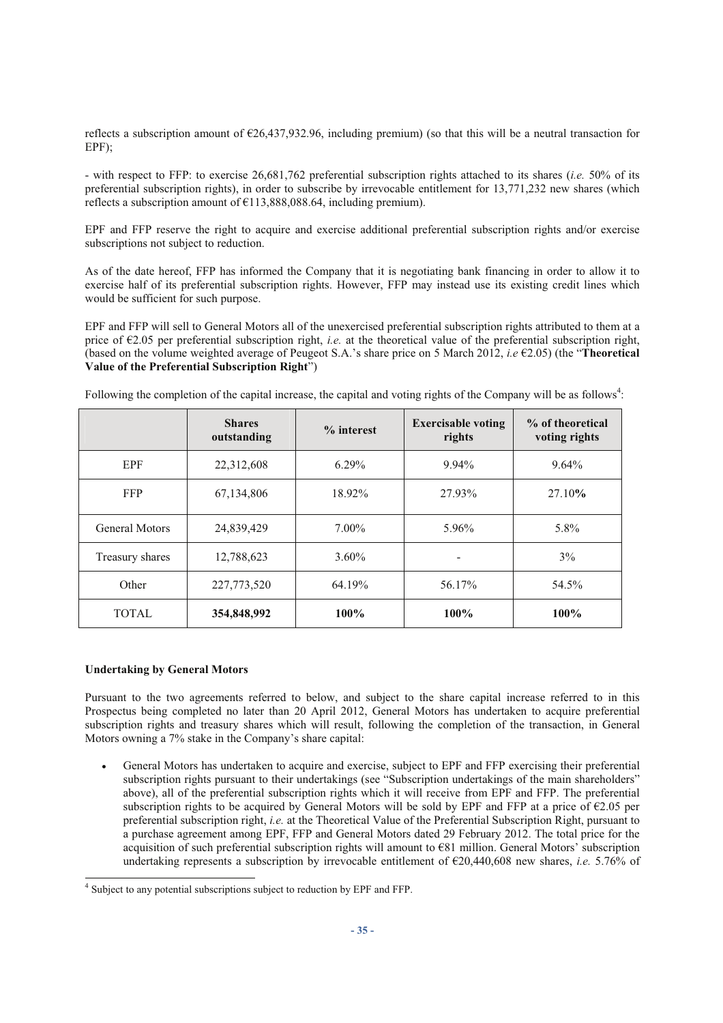reflects a subscription amount of €26,437,932.96, including premium) (so that this will be a neutral transaction for EPF);

- with respect to FFP: to exercise 26,681,762 preferential subscription rights attached to its shares (*i.e.* 50% of its preferential subscription rights), in order to subscribe by irrevocable entitlement for 13,771,232 new shares (which reflects a subscription amount of  $\epsilon$ 113,888,088,64, including premium).

EPF and FFP reserve the right to acquire and exercise additional preferential subscription rights and/or exercise subscriptions not subject to reduction.

As of the date hereof, FFP has informed the Company that it is negotiating bank financing in order to allow it to exercise half of its preferential subscription rights. However, FFP may instead use its existing credit lines which would be sufficient for such purpose.

EPF and FFP will sell to General Motors all of the unexercised preferential subscription rights attributed to them at a price of  $\epsilon$ 2.05 per preferential subscription right, *i.e.* at the theoretical value of the preferential subscription right, (based on the volume weighted average of Peugeot S.A.'s share price on 5 March 2012, *i.e* €2.05) (the "**Theoretical Value of the Preferential Subscription Right**")

|                       | <b>Shares</b><br>outstanding | $%$ interest | <b>Exercisable voting</b><br>rights | % of theoretical<br>voting rights |
|-----------------------|------------------------------|--------------|-------------------------------------|-----------------------------------|
| <b>EPF</b>            | 22,312,608                   | $6.29\%$     | 9.94%                               | $9.64\%$                          |
| <b>FFP</b>            | 67,134,806                   | 18.92%       | 27.93%                              | 27.10%                            |
| <b>General Motors</b> | 24,839,429                   | $7.00\%$     | 5.96%                               | 5.8%                              |
| Treasury shares       | 12,788,623                   | $3.60\%$     |                                     | $3\%$                             |
| Other                 | 227,773,520                  | 64.19%       | 56.17%                              | 54.5%                             |
| <b>TOTAL</b>          | 354,848,992                  | $100\%$      | $100\%$                             | $100\%$                           |

Following the completion of the capital increase, the capital and voting rights of the Company will be as follows<sup>4</sup>:

#### **Undertaking by General Motors**

Pursuant to the two agreements referred to below, and subject to the share capital increase referred to in this Prospectus being completed no later than 20 April 2012, General Motors has undertaken to acquire preferential subscription rights and treasury shares which will result, following the completion of the transaction, in General Motors owning a 7% stake in the Company's share capital:

 General Motors has undertaken to acquire and exercise, subject to EPF and FFP exercising their preferential subscription rights pursuant to their undertakings (see "Subscription undertakings of the main shareholders" above), all of the preferential subscription rights which it will receive from EPF and FFP. The preferential subscription rights to be acquired by General Motors will be sold by EPF and FFP at a price of  $\epsilon$ 2.05 per preferential subscription right, *i.e.* at the Theoretical Value of the Preferential Subscription Right, pursuant to a purchase agreement among EPF, FFP and General Motors dated 29 February 2012. The total price for the acquisition of such preferential subscription rights will amount to €81 million. General Motors' subscription undertaking represents a subscription by irrevocable entitlement of €20,440,608 new shares, *i.e.* 5.76% of

 4 Subject to any potential subscriptions subject to reduction by EPF and FFP.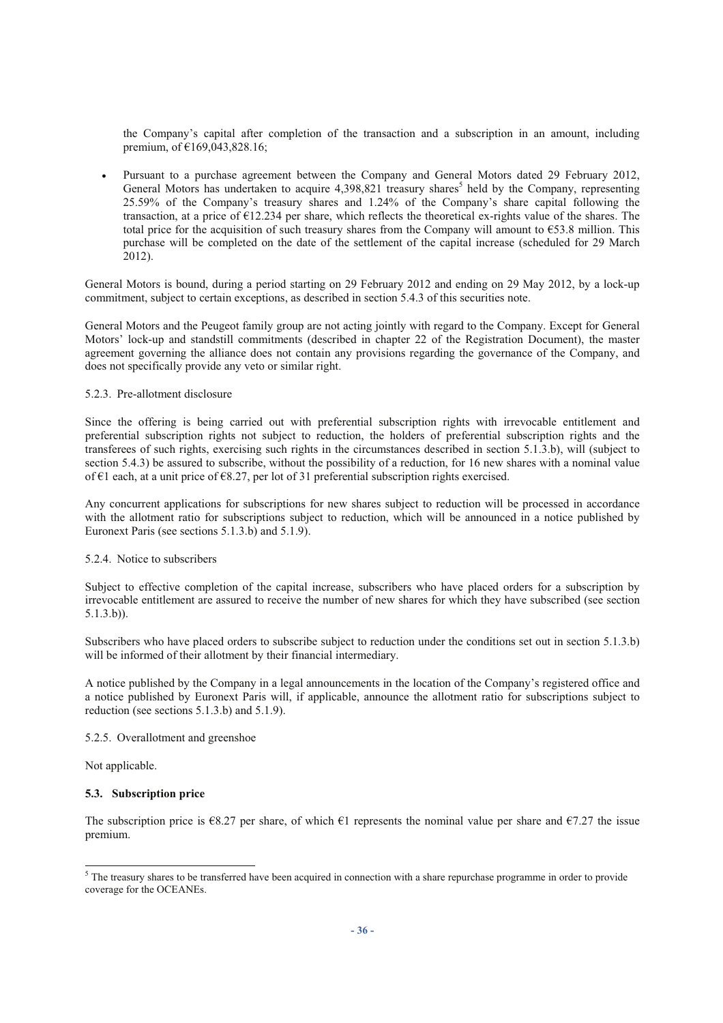the Company's capital after completion of the transaction and a subscription in an amount, including premium, of €169,043,828.16;

 Pursuant to a purchase agreement between the Company and General Motors dated 29 February 2012, General Motors has undertaken to acquire 4,398,821 treasury shares<sup>5</sup> held by the Company, representing 25.59% of the Company's treasury shares and 1.24% of the Company's share capital following the transaction, at a price of €12.234 per share, which reflects the theoretical ex-rights value of the shares. The total price for the acquisition of such treasury shares from the Company will amount to  $\epsilon$ 53.8 million. This purchase will be completed on the date of the settlement of the capital increase (scheduled for 29 March 2012).

General Motors is bound, during a period starting on 29 February 2012 and ending on 29 May 2012, by a lock-up commitment, subject to certain exceptions, as described in section 5.4.3 of this securities note.

General Motors and the Peugeot family group are not acting jointly with regard to the Company. Except for General Motors' lock-up and standstill commitments (described in chapter 22 of the Registration Document), the master agreement governing the alliance does not contain any provisions regarding the governance of the Company, and does not specifically provide any veto or similar right.

## 5.2.3. Pre-allotment disclosure

Since the offering is being carried out with preferential subscription rights with irrevocable entitlement and preferential subscription rights not subject to reduction, the holders of preferential subscription rights and the transferees of such rights, exercising such rights in the circumstances described in section 5.1.3.b), will (subject to section 5.4.3) be assured to subscribe, without the possibility of a reduction, for 16 new shares with a nominal value of €1 each, at a unit price of €8.27, per lot of 31 preferential subscription rights exercised.

Any concurrent applications for subscriptions for new shares subject to reduction will be processed in accordance with the allotment ratio for subscriptions subject to reduction, which will be announced in a notice published by Euronext Paris (see sections 5.1.3.b) and 5.1.9).

#### 5.2.4. Notice to subscribers

Subject to effective completion of the capital increase, subscribers who have placed orders for a subscription by irrevocable entitlement are assured to receive the number of new shares for which they have subscribed (see section 5.1.3.b)).

Subscribers who have placed orders to subscribe subject to reduction under the conditions set out in section 5.1.3.b) will be informed of their allotment by their financial intermediary.

A notice published by the Company in a legal announcements in the location of the Company's registered office and a notice published by Euronext Paris will, if applicable, announce the allotment ratio for subscriptions subject to reduction (see sections 5.1.3.b) and 5.1.9).

# 5.2.5. Overallotment and greenshoe

Not applicable.

#### **5.3. Subscription price**

The subscription price is  $\epsilon$ 8.27 per share, of which  $\epsilon$ 1 represents the nominal value per share and  $\epsilon$ 7.27 the issue premium.

<sup>&</sup>lt;sup>5</sup> The treasury shares to be transferred have been acquired in connection with a share repurchase programme in order to provide coverage for the OCEANEs.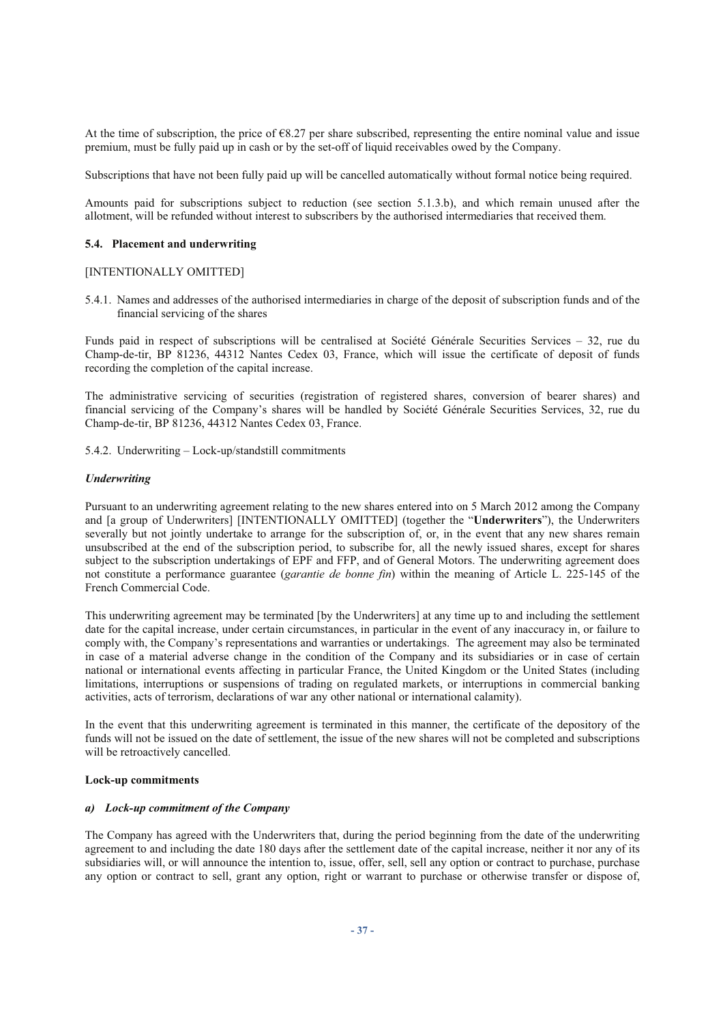At the time of subscription, the price of  $\epsilon$ 8.27 per share subscribed, representing the entire nominal value and issue premium, must be fully paid up in cash or by the set-off of liquid receivables owed by the Company.

Subscriptions that have not been fully paid up will be cancelled automatically without formal notice being required.

Amounts paid for subscriptions subject to reduction (see section 5.1.3.b), and which remain unused after the allotment, will be refunded without interest to subscribers by the authorised intermediaries that received them.

#### **5.4. Placement and underwriting**

#### [INTENTIONALLY OMITTED]

5.4.1. Names and addresses of the authorised intermediaries in charge of the deposit of subscription funds and of the financial servicing of the shares

Funds paid in respect of subscriptions will be centralised at Société Générale Securities Services – 32, rue du Champ-de-tir, BP 81236, 44312 Nantes Cedex 03, France, which will issue the certificate of deposit of funds recording the completion of the capital increase.

The administrative servicing of securities (registration of registered shares, conversion of bearer shares) and financial servicing of the Company's shares will be handled by Société Générale Securities Services, 32, rue du Champ-de-tir, BP 81236, 44312 Nantes Cedex 03, France.

5.4.2. Underwriting – Lock-up/standstill commitments

#### *Underwriting*

Pursuant to an underwriting agreement relating to the new shares entered into on 5 March 2012 among the Company and [a group of Underwriters] [INTENTIONALLY OMITTED] (together the "**Underwriters**"), the Underwriters severally but not jointly undertake to arrange for the subscription of, or, in the event that any new shares remain unsubscribed at the end of the subscription period, to subscribe for, all the newly issued shares, except for shares subject to the subscription undertakings of EPF and FFP, and of General Motors. The underwriting agreement does not constitute a performance guarantee (*garantie de bonne fin*) within the meaning of Article L. 225-145 of the French Commercial Code.

This underwriting agreement may be terminated [by the Underwriters] at any time up to and including the settlement date for the capital increase, under certain circumstances, in particular in the event of any inaccuracy in, or failure to comply with, the Company's representations and warranties or undertakings. The agreement may also be terminated in case of a material adverse change in the condition of the Company and its subsidiaries or in case of certain national or international events affecting in particular France, the United Kingdom or the United States (including limitations, interruptions or suspensions of trading on regulated markets, or interruptions in commercial banking activities, acts of terrorism, declarations of war any other national or international calamity).

In the event that this underwriting agreement is terminated in this manner, the certificate of the depository of the funds will not be issued on the date of settlement, the issue of the new shares will not be completed and subscriptions will be retroactively cancelled.

#### **Lock-up commitments**

#### *a) Lock-up commitment of the Company*

The Company has agreed with the Underwriters that, during the period beginning from the date of the underwriting agreement to and including the date 180 days after the settlement date of the capital increase, neither it nor any of its subsidiaries will, or will announce the intention to, issue, offer, sell, sell any option or contract to purchase, purchase any option or contract to sell, grant any option, right or warrant to purchase or otherwise transfer or dispose of,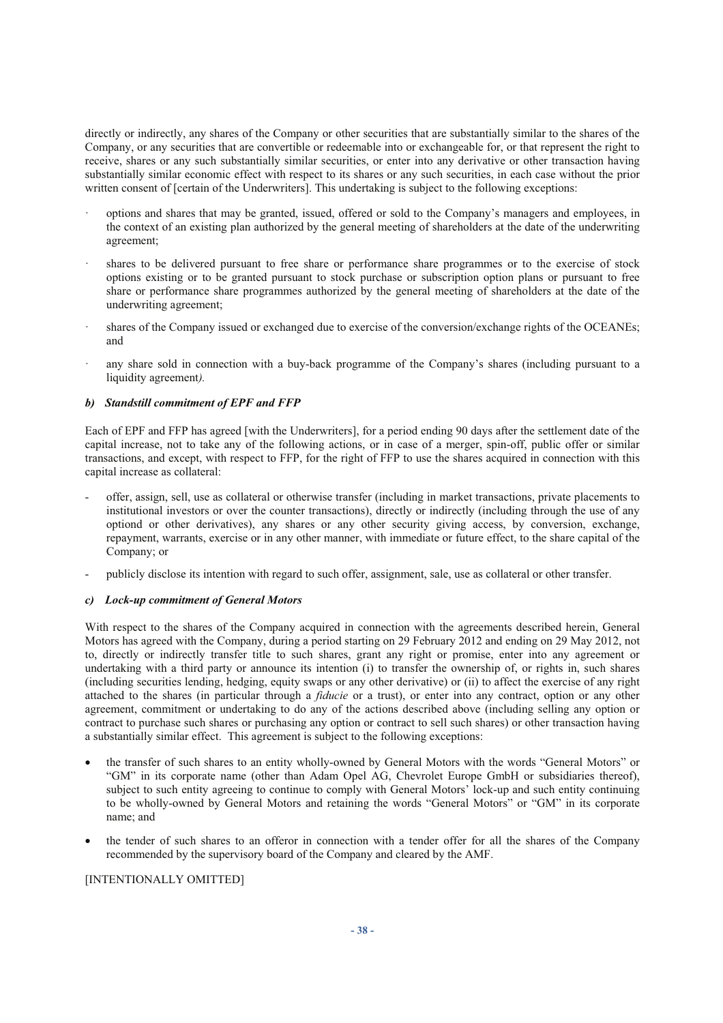directly or indirectly, any shares of the Company or other securities that are substantially similar to the shares of the Company, or any securities that are convertible or redeemable into or exchangeable for, or that represent the right to receive, shares or any such substantially similar securities, or enter into any derivative or other transaction having substantially similar economic effect with respect to its shares or any such securities, in each case without the prior written consent of [certain of the Underwriters]. This undertaking is subject to the following exceptions:

- · options and shares that may be granted, issued, offered or sold to the Company's managers and employees, in the context of an existing plan authorized by the general meeting of shareholders at the date of the underwriting agreement;
- shares to be delivered pursuant to free share or performance share programmes or to the exercise of stock options existing or to be granted pursuant to stock purchase or subscription option plans or pursuant to free share or performance share programmes authorized by the general meeting of shareholders at the date of the underwriting agreement;
- shares of the Company issued or exchanged due to exercise of the conversion/exchange rights of the OCEANEs; and
- any share sold in connection with a buy-back programme of the Company's shares (including pursuant to a liquidity agreement*).*

## *b) Standstill commitment of EPF and FFP*

Each of EPF and FFP has agreed [with the Underwriters], for a period ending 90 days after the settlement date of the capital increase, not to take any of the following actions, or in case of a merger, spin-off, public offer or similar transactions, and except, with respect to FFP, for the right of FFP to use the shares acquired in connection with this capital increase as collateral:

- offer, assign, sell, use as collateral or otherwise transfer (including in market transactions, private placements to institutional investors or over the counter transactions), directly or indirectly (including through the use of any optiond or other derivatives), any shares or any other security giving access, by conversion, exchange, repayment, warrants, exercise or in any other manner, with immediate or future effect, to the share capital of the Company; or
- publicly disclose its intention with regard to such offer, assignment, sale, use as collateral or other transfer.

#### *c) Lock-up commitment of General Motors*

With respect to the shares of the Company acquired in connection with the agreements described herein, General Motors has agreed with the Company, during a period starting on 29 February 2012 and ending on 29 May 2012, not to, directly or indirectly transfer title to such shares, grant any right or promise, enter into any agreement or undertaking with a third party or announce its intention (i) to transfer the ownership of, or rights in, such shares (including securities lending, hedging, equity swaps or any other derivative) or (ii) to affect the exercise of any right attached to the shares (in particular through a *fiducie* or a trust), or enter into any contract, option or any other agreement, commitment or undertaking to do any of the actions described above (including selling any option or contract to purchase such shares or purchasing any option or contract to sell such shares) or other transaction having a substantially similar effect. This agreement is subject to the following exceptions:

- the transfer of such shares to an entity wholly-owned by General Motors with the words "General Motors" or "GM" in its corporate name (other than Adam Opel AG, Chevrolet Europe GmbH or subsidiaries thereof), subject to such entity agreeing to continue to comply with General Motors' lock-up and such entity continuing to be wholly-owned by General Motors and retaining the words "General Motors" or "GM" in its corporate name; and
- the tender of such shares to an offeror in connection with a tender offer for all the shares of the Company recommended by the supervisory board of the Company and cleared by the AMF.

#### [INTENTIONALLY OMITTED]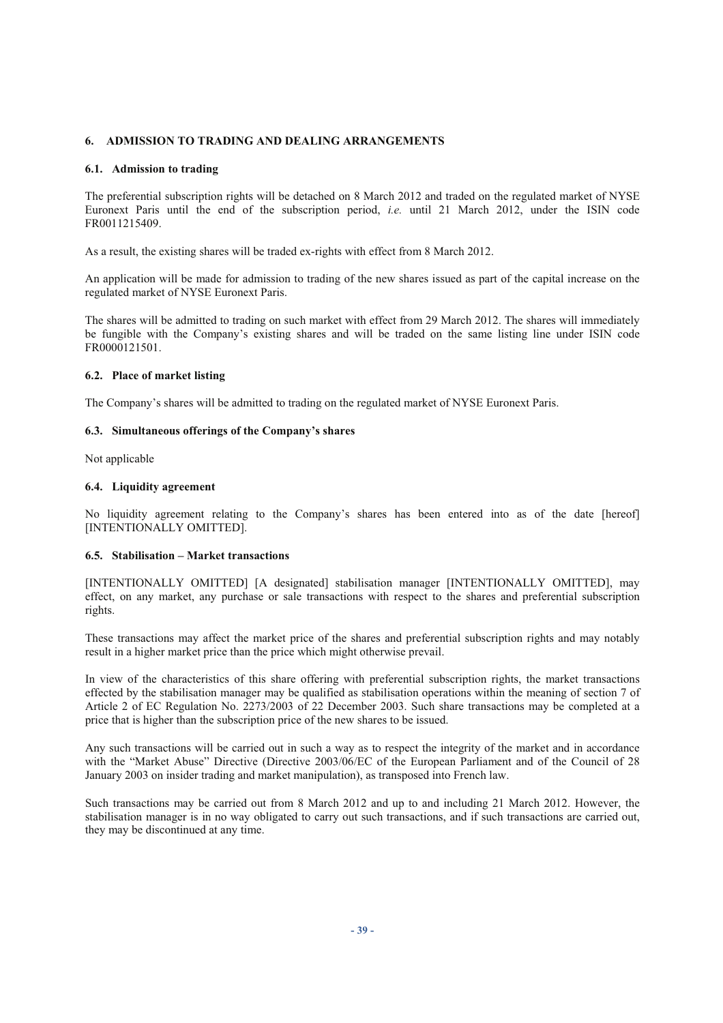# **6. ADMISSION TO TRADING AND DEALING ARRANGEMENTS**

#### **6.1. Admission to trading**

The preferential subscription rights will be detached on 8 March 2012 and traded on the regulated market of NYSE Euronext Paris until the end of the subscription period, *i.e.* until 21 March 2012, under the ISIN code FR0011215409.

As a result, the existing shares will be traded ex-rights with effect from 8 March 2012.

An application will be made for admission to trading of the new shares issued as part of the capital increase on the regulated market of NYSE Euronext Paris.

The shares will be admitted to trading on such market with effect from 29 March 2012. The shares will immediately be fungible with the Company's existing shares and will be traded on the same listing line under ISIN code FR0000121501.

## **6.2. Place of market listing**

The Company's shares will be admitted to trading on the regulated market of NYSE Euronext Paris.

## **6.3. Simultaneous offerings of the Company's shares**

Not applicable

## **6.4. Liquidity agreement**

No liquidity agreement relating to the Company's shares has been entered into as of the date [hereof] [INTENTIONALLY OMITTED].

#### **6.5. Stabilisation – Market transactions**

[INTENTIONALLY OMITTED] [A designated] stabilisation manager [INTENTIONALLY OMITTED], may effect, on any market, any purchase or sale transactions with respect to the shares and preferential subscription rights.

These transactions may affect the market price of the shares and preferential subscription rights and may notably result in a higher market price than the price which might otherwise prevail.

In view of the characteristics of this share offering with preferential subscription rights, the market transactions effected by the stabilisation manager may be qualified as stabilisation operations within the meaning of section 7 of Article 2 of EC Regulation No. 2273/2003 of 22 December 2003. Such share transactions may be completed at a price that is higher than the subscription price of the new shares to be issued.

Any such transactions will be carried out in such a way as to respect the integrity of the market and in accordance with the "Market Abuse" Directive (Directive 2003/06/EC of the European Parliament and of the Council of 28 January 2003 on insider trading and market manipulation), as transposed into French law.

Such transactions may be carried out from 8 March 2012 and up to and including 21 March 2012. However, the stabilisation manager is in no way obligated to carry out such transactions, and if such transactions are carried out, they may be discontinued at any time.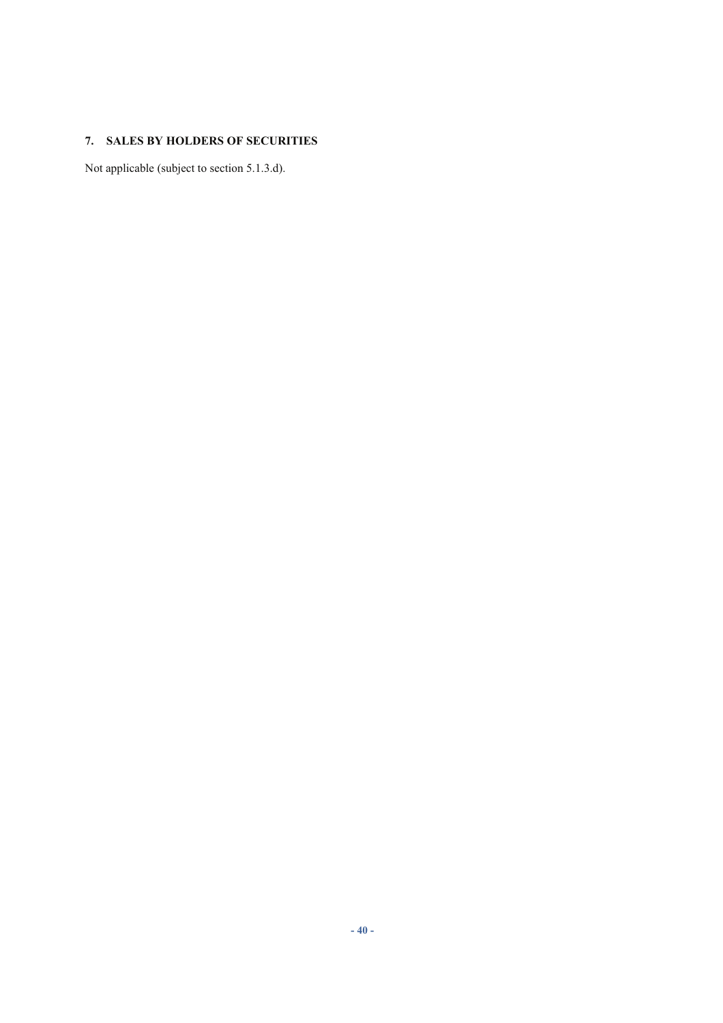# **7. SALES BY HOLDERS OF SECURITIES**

Not applicable (subject to section 5.1.3.d).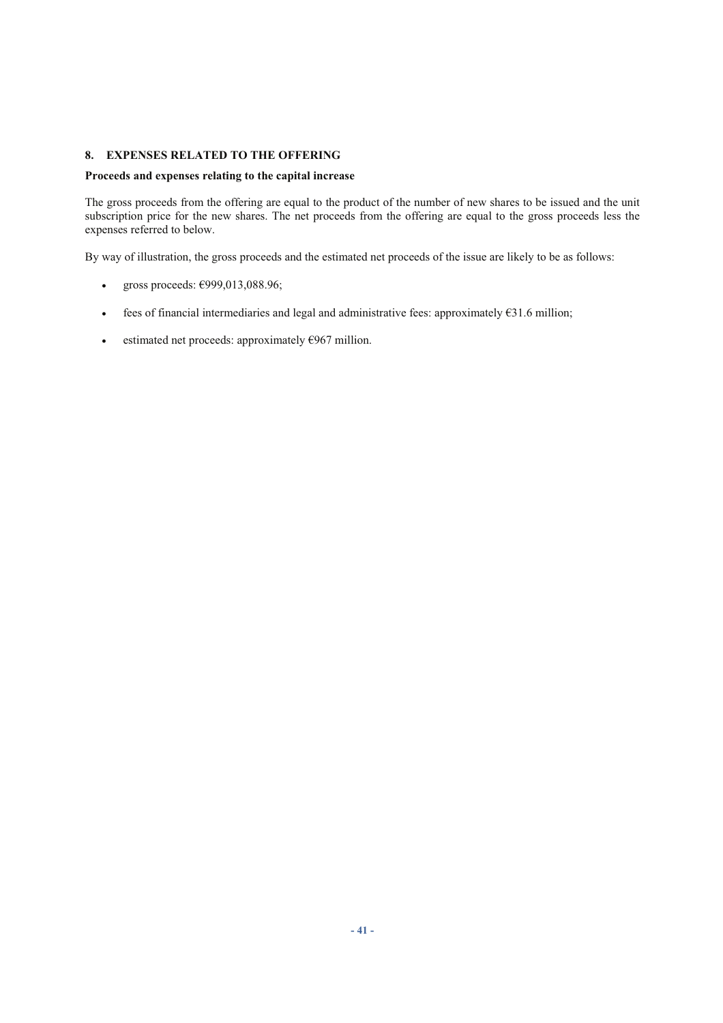# **8. EXPENSES RELATED TO THE OFFERING**

# **Proceeds and expenses relating to the capital increase**

The gross proceeds from the offering are equal to the product of the number of new shares to be issued and the unit subscription price for the new shares. The net proceeds from the offering are equal to the gross proceeds less the expenses referred to below.

By way of illustration, the gross proceeds and the estimated net proceeds of the issue are likely to be as follows:

- e gross proceeds:  $\epsilon$ 999,013,088.96;
- $\bullet$  fees of financial intermediaries and legal and administrative fees: approximately  $\epsilon$ 31.6 million;
- estimated net proceeds: approximately  $\epsilon$ 967 million.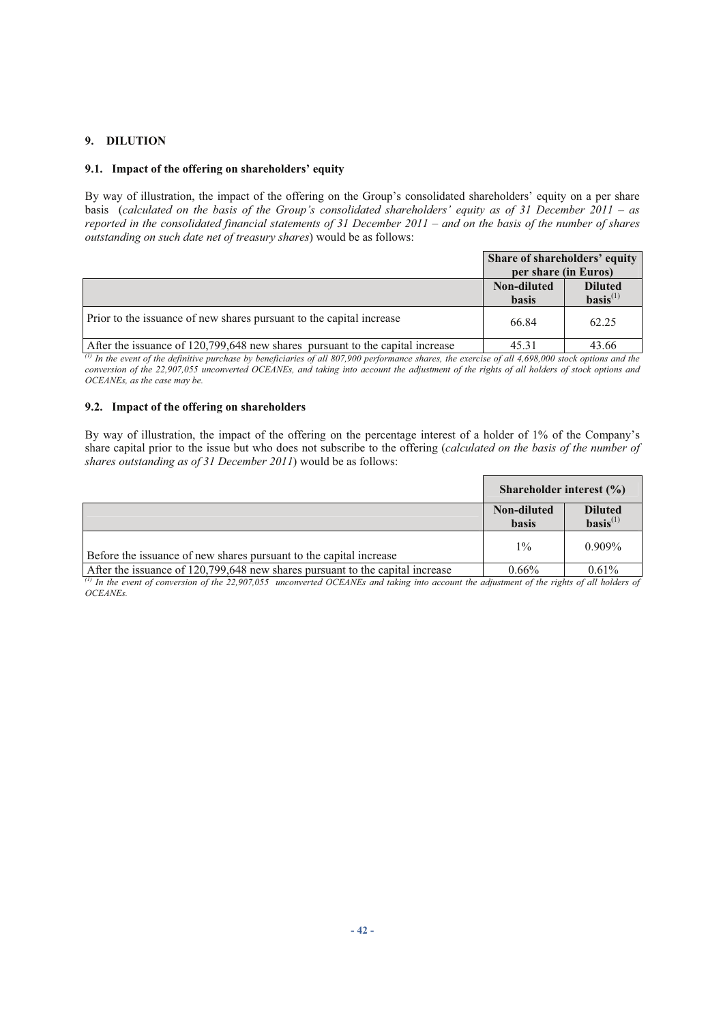# **9. DILUTION**

# **9.1. Impact of the offering on shareholders' equity**

By way of illustration, the impact of the offering on the Group's consolidated shareholders' equity on a per share basis (*calculated on the basis of the Group's consolidated shareholders' equity as of 31 December 2011 – as reported in the consolidated financial statements of 31 December 2011 – and on the basis of the number of shares outstanding on such date net of treasury shares*) would be as follows:

|                                                                               | Share of shareholders' equity |                                          |
|-------------------------------------------------------------------------------|-------------------------------|------------------------------------------|
|                                                                               | per share (in Euros)          |                                          |
|                                                                               | Non-diluted<br><b>hasis</b>   | <b>Diluted</b><br>$\textbf{basis}^{(1)}$ |
| Prior to the issuance of new shares pursuant to the capital increase          | 66.84                         | 62.25                                    |
| After the issuance of 120,799,648 new shares pursuant to the capital increase | 45.31                         | 43.66                                    |

*(1) In the event of the definitive purchase by beneficiaries of all 807,900 performance shares, the exercise of all 4,698,000 stock options and the conversion of the 22,907,055 unconverted OCEANEs, and taking into account the adjustment of the rights of all holders of stock options and OCEANEs, as the case may be.* 

## **9.2. Impact of the offering on shareholders**

By way of illustration, the impact of the offering on the percentage interest of a holder of 1% of the Company's share capital prior to the issue but who does not subscribe to the offering (*calculated on the basis of the number of shares outstanding as of 31 December 2011*) would be as follows:

|                                                                               | Shareholder interest $(\% )$ |                                 |
|-------------------------------------------------------------------------------|------------------------------|---------------------------------|
|                                                                               | Non-diluted<br><b>basis</b>  | <b>Diluted</b><br>$basis^{(1)}$ |
| Before the issuance of new shares pursuant to the capital increase            | $1\%$                        | $0.909\%$                       |
| After the issuance of 120,799,648 new shares pursuant to the capital increase | $0.66\%$                     | 0.61%                           |

*(1) In the event of conversion of the 22,907,055 unconverted OCEANEs and taking into account the adjustment of the rights of all holders of OCEANEs.*